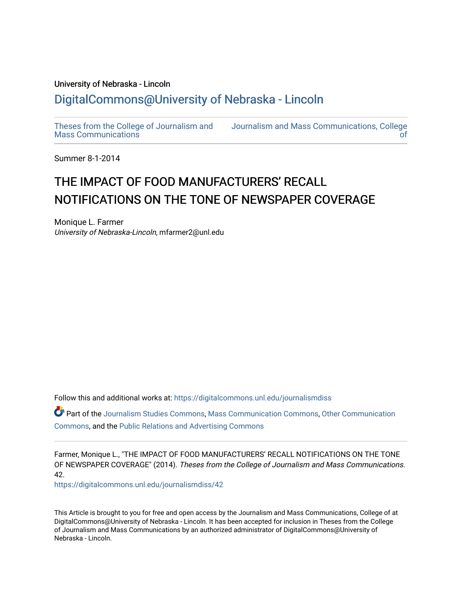## University of Nebraska - Lincoln [DigitalCommons@University of Nebraska - Lincoln](https://digitalcommons.unl.edu/)

[Theses from the College of Journalism and](https://digitalcommons.unl.edu/journalismdiss)  [Mass Communications](https://digitalcommons.unl.edu/journalismdiss)

[Journalism and Mass Communications, College](https://digitalcommons.unl.edu/journalism)  [of](https://digitalcommons.unl.edu/journalism) 

Summer 8-1-2014

## THE IMPACT OF FOOD MANUFACTURERS' RECALL NOTIFICATIONS ON THE TONE OF NEWSPAPER COVERAGE

Monique L. Farmer University of Nebraska-Lincoln, mfarmer2@unl.edu

Follow this and additional works at: [https://digitalcommons.unl.edu/journalismdiss](https://digitalcommons.unl.edu/journalismdiss?utm_source=digitalcommons.unl.edu%2Fjournalismdiss%2F42&utm_medium=PDF&utm_campaign=PDFCoverPages) 

Part of the [Journalism Studies Commons](http://network.bepress.com/hgg/discipline/333?utm_source=digitalcommons.unl.edu%2Fjournalismdiss%2F42&utm_medium=PDF&utm_campaign=PDFCoverPages), [Mass Communication Commons](http://network.bepress.com/hgg/discipline/334?utm_source=digitalcommons.unl.edu%2Fjournalismdiss%2F42&utm_medium=PDF&utm_campaign=PDFCoverPages), [Other Communication](http://network.bepress.com/hgg/discipline/339?utm_source=digitalcommons.unl.edu%2Fjournalismdiss%2F42&utm_medium=PDF&utm_campaign=PDFCoverPages) [Commons](http://network.bepress.com/hgg/discipline/339?utm_source=digitalcommons.unl.edu%2Fjournalismdiss%2F42&utm_medium=PDF&utm_campaign=PDFCoverPages), and the [Public Relations and Advertising Commons](http://network.bepress.com/hgg/discipline/336?utm_source=digitalcommons.unl.edu%2Fjournalismdiss%2F42&utm_medium=PDF&utm_campaign=PDFCoverPages) 

Farmer, Monique L., "THE IMPACT OF FOOD MANUFACTURERS' RECALL NOTIFICATIONS ON THE TONE OF NEWSPAPER COVERAGE" (2014). Theses from the College of Journalism and Mass Communications. 42.

[https://digitalcommons.unl.edu/journalismdiss/42](https://digitalcommons.unl.edu/journalismdiss/42?utm_source=digitalcommons.unl.edu%2Fjournalismdiss%2F42&utm_medium=PDF&utm_campaign=PDFCoverPages) 

This Article is brought to you for free and open access by the Journalism and Mass Communications, College of at DigitalCommons@University of Nebraska - Lincoln. It has been accepted for inclusion in Theses from the College of Journalism and Mass Communications by an authorized administrator of DigitalCommons@University of Nebraska - Lincoln.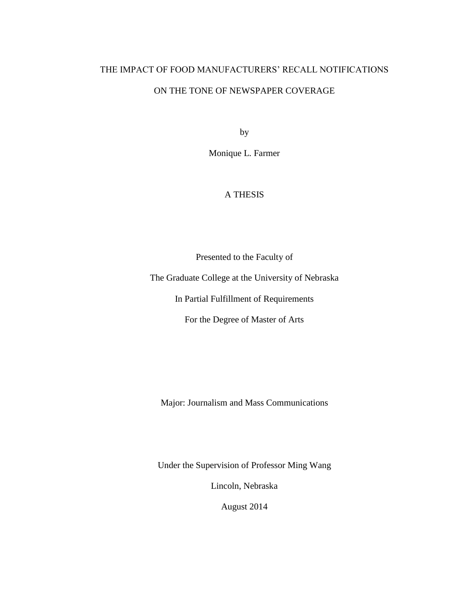## THE IMPACT OF FOOD MANUFACTURERS' RECALL NOTIFICATIONS ON THE TONE OF NEWSPAPER COVERAGE

by

Monique L. Farmer

## A THESIS

Presented to the Faculty of

The Graduate College at the University of Nebraska

In Partial Fulfillment of Requirements

For the Degree of Master of Arts

Major: Journalism and Mass Communications

Under the Supervision of Professor Ming Wang

Lincoln, Nebraska

August 2014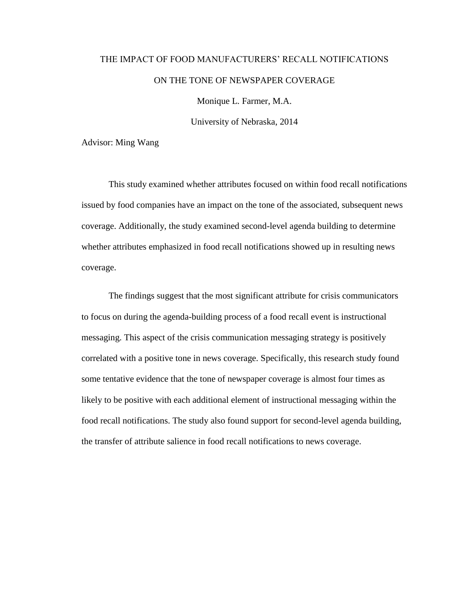# THE IMPACT OF FOOD MANUFACTURERS' RECALL NOTIFICATIONS ON THE TONE OF NEWSPAPER COVERAGE

Monique L. Farmer, M.A.

University of Nebraska, 2014

Advisor: Ming Wang

This study examined whether attributes focused on within food recall notifications issued by food companies have an impact on the tone of the associated, subsequent news coverage. Additionally, the study examined second-level agenda building to determine whether attributes emphasized in food recall notifications showed up in resulting news coverage.

The findings suggest that the most significant attribute for crisis communicators to focus on during the agenda-building process of a food recall event is instructional messaging. This aspect of the crisis communication messaging strategy is positively correlated with a positive tone in news coverage. Specifically, this research study found some tentative evidence that the tone of newspaper coverage is almost four times as likely to be positive with each additional element of instructional messaging within the food recall notifications. The study also found support for second-level agenda building, the transfer of attribute salience in food recall notifications to news coverage.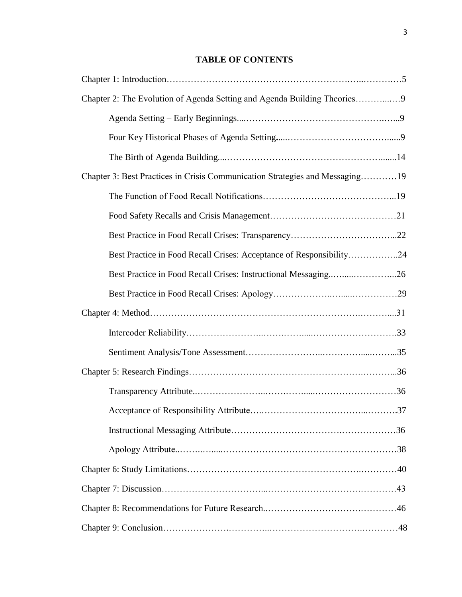## **TABLE OF CONTENTS**

| Chapter 2: The Evolution of Agenda Setting and Agenda Building Theories9     |  |
|------------------------------------------------------------------------------|--|
|                                                                              |  |
|                                                                              |  |
|                                                                              |  |
| Chapter 3: Best Practices in Crisis Communication Strategies and Messaging19 |  |
|                                                                              |  |
|                                                                              |  |
|                                                                              |  |
| Best Practice in Food Recall Crises: Acceptance of Responsibility24          |  |
| Best Practice in Food Recall Crises: Instructional Messaging26               |  |
|                                                                              |  |
|                                                                              |  |
|                                                                              |  |
|                                                                              |  |
|                                                                              |  |
|                                                                              |  |
|                                                                              |  |
|                                                                              |  |
|                                                                              |  |
|                                                                              |  |
|                                                                              |  |
|                                                                              |  |
|                                                                              |  |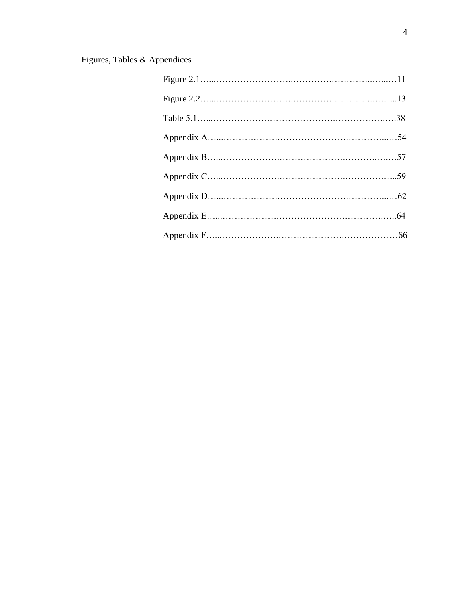## Figures, Tables & Appendices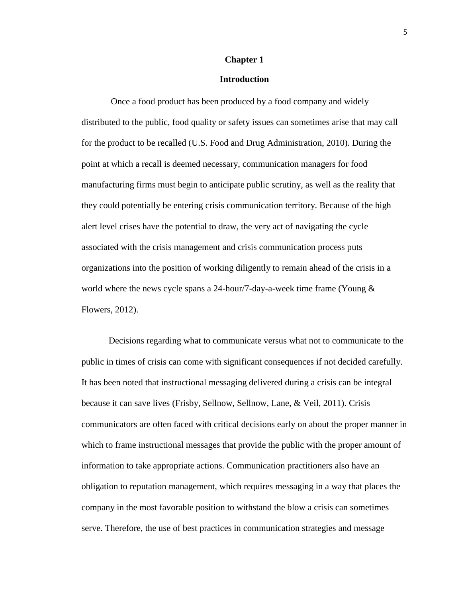### **Chapter 1**

#### **Introduction**

Once a food product has been produced by a food company and widely distributed to the public, food quality or safety issues can sometimes arise that may call for the product to be recalled (U.S. Food and Drug Administration, 2010). During the point at which a recall is deemed necessary, communication managers for food manufacturing firms must begin to anticipate public scrutiny, as well as the reality that they could potentially be entering crisis communication territory. Because of the high alert level crises have the potential to draw, the very act of navigating the cycle associated with the crisis management and crisis communication process puts organizations into the position of working diligently to remain ahead of the crisis in a world where the news cycle spans a 24-hour/7-day-a-week time frame (Young  $\&$ Flowers, 2012).

Decisions regarding what to communicate versus what not to communicate to the public in times of crisis can come with significant consequences if not decided carefully. It has been noted that instructional messaging delivered during a crisis can be integral because it can save lives (Frisby, Sellnow, Sellnow, Lane, & Veil, 2011). Crisis communicators are often faced with critical decisions early on about the proper manner in which to frame instructional messages that provide the public with the proper amount of information to take appropriate actions. Communication practitioners also have an obligation to reputation management, which requires messaging in a way that places the company in the most favorable position to withstand the blow a crisis can sometimes serve. Therefore, the use of best practices in communication strategies and message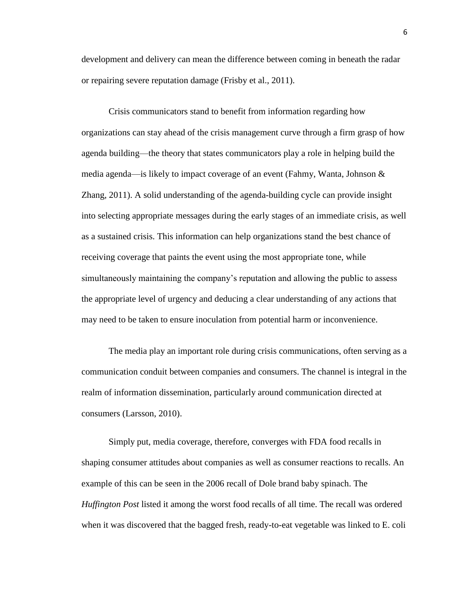development and delivery can mean the difference between coming in beneath the radar or repairing severe reputation damage (Frisby et al., 2011).

Crisis communicators stand to benefit from information regarding how organizations can stay ahead of the crisis management curve through a firm grasp of how agenda building—the theory that states communicators play a role in helping build the media agenda—is likely to impact coverage of an event (Fahmy, Wanta, Johnson & Zhang, 2011). A solid understanding of the agenda-building cycle can provide insight into selecting appropriate messages during the early stages of an immediate crisis, as well as a sustained crisis. This information can help organizations stand the best chance of receiving coverage that paints the event using the most appropriate tone, while simultaneously maintaining the company's reputation and allowing the public to assess the appropriate level of urgency and deducing a clear understanding of any actions that may need to be taken to ensure inoculation from potential harm or inconvenience.

The media play an important role during crisis communications, often serving as a communication conduit between companies and consumers. The channel is integral in the realm of information dissemination, particularly around communication directed at consumers (Larsson, 2010).

Simply put, media coverage, therefore, converges with FDA food recalls in shaping consumer attitudes about companies as well as consumer reactions to recalls. An example of this can be seen in the 2006 recall of Dole brand baby spinach. The *Huffington Post* listed it among the worst food recalls of all time. The recall was ordered when it was discovered that the bagged fresh, ready-to-eat vegetable was linked to E. coli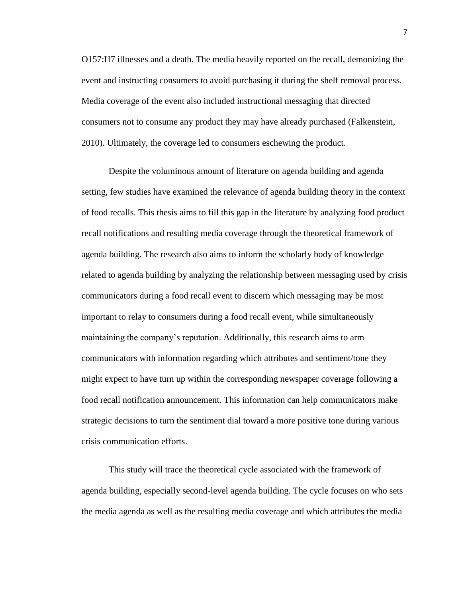O157:H7 illnesses and a death. The media heavily reported on the recall, demonizing the event and instructing consumers to avoid purchasing it during the shelf removal process. Media coverage of the event also included instructional messaging that directed consumers not to consume any product they may have already purchased (Falkenstein, 2010). Ultimately, the coverage led to consumers eschewing the product.

Despite the voluminous amount of literature on agenda building and agenda setting, few studies have examined the relevance of agenda building theory in the context of food recalls. This thesis aims to fill this gap in the literature by analyzing food product recall notifications and resulting media coverage through the theoretical framework of agenda building. The research also aims to inform the scholarly body of knowledge related to agenda building by analyzing the relationship between messaging used by crisis communicators during a food recall event to discern which messaging may be most important to relay to consumers during a food recall event, while simultaneously maintaining the company's reputation. Additionally, this research aims to arm communicators with information regarding which attributes and sentiment/tone they might expect to have turn up within the corresponding newspaper coverage following a food recall notification announcement. This information can help communicators make strategic decisions to turn the sentiment dial toward a more positive tone during various crisis communication efforts.

This study will trace the theoretical cycle associated with the framework of agenda building, especially second-level agenda building. The cycle focuses on who sets the media agenda as well as the resulting media coverage and which attributes the media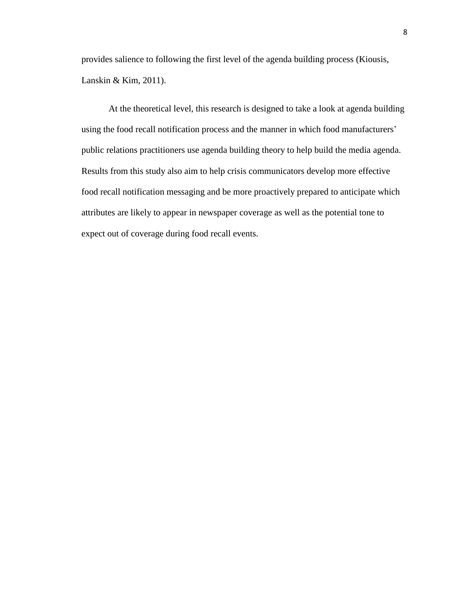provides salience to following the first level of the agenda building process (Kiousis, Lanskin & Kim, 2011).

At the theoretical level, this research is designed to take a look at agenda building using the food recall notification process and the manner in which food manufacturers' public relations practitioners use agenda building theory to help build the media agenda. Results from this study also aim to help crisis communicators develop more effective food recall notification messaging and be more proactively prepared to anticipate which attributes are likely to appear in newspaper coverage as well as the potential tone to expect out of coverage during food recall events.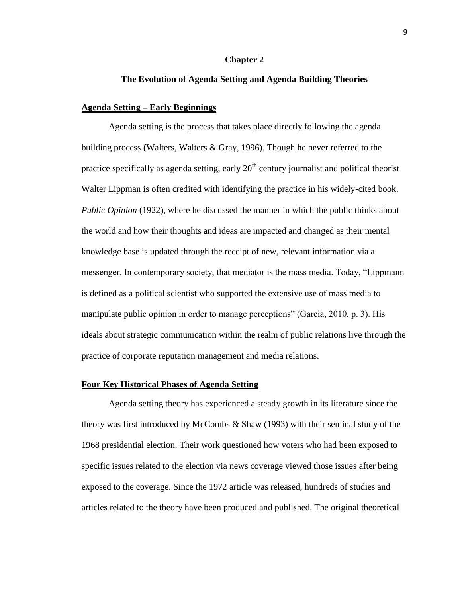#### **Chapter 2**

#### **The Evolution of Agenda Setting and Agenda Building Theories**

#### **Agenda Setting – Early Beginnings**

Agenda setting is the process that takes place directly following the agenda building process (Walters, Walters & Gray, 1996). Though he never referred to the practice specifically as agenda setting, early  $20<sup>th</sup>$  century journalist and political theorist Walter Lippman is often credited with identifying the practice in his widely-cited book, *Public Opinion* (1922), where he discussed the manner in which the public thinks about the world and how their thoughts and ideas are impacted and changed as their mental knowledge base is updated through the receipt of new, relevant information via a messenger. In contemporary society, that mediator is the mass media. Today, "Lippmann is defined as a political scientist who supported the extensive use of mass media to manipulate public opinion in order to manage perceptions" (Garcia, 2010, p. 3). His ideals about strategic communication within the realm of public relations live through the practice of corporate reputation management and media relations.

#### **Four Key Historical Phases of Agenda Setting**

Agenda setting theory has experienced a steady growth in its literature since the theory was first introduced by McCombs & Shaw (1993) with their seminal study of the 1968 presidential election. Their work questioned how voters who had been exposed to specific issues related to the election via news coverage viewed those issues after being exposed to the coverage. Since the 1972 article was released, hundreds of studies and articles related to the theory have been produced and published. The original theoretical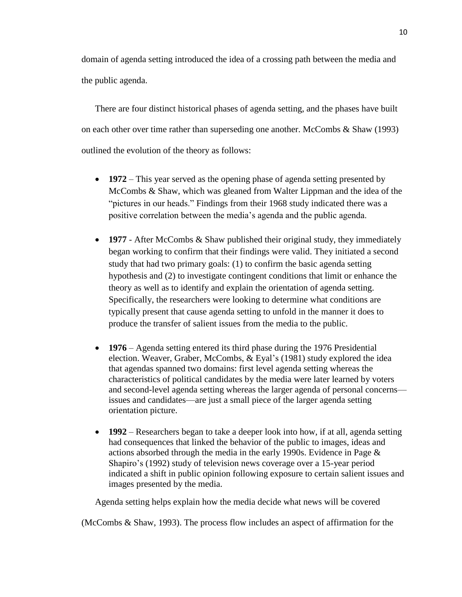domain of agenda setting introduced the idea of a crossing path between the media and the public agenda.

There are four distinct historical phases of agenda setting, and the phases have built on each other over time rather than superseding one another. McCombs & Shaw (1993) outlined the evolution of the theory as follows:

- **1972** This year served as the opening phase of agenda setting presented by McCombs & Shaw, which was gleaned from Walter Lippman and the idea of the "pictures in our heads." Findings from their 1968 study indicated there was a positive correlation between the media's agenda and the public agenda.
- **1977** After McCombs & Shaw published their original study, they immediately began working to confirm that their findings were valid. They initiated a second study that had two primary goals: (1) to confirm the basic agenda setting hypothesis and (2) to investigate contingent conditions that limit or enhance the theory as well as to identify and explain the orientation of agenda setting. Specifically, the researchers were looking to determine what conditions are typically present that cause agenda setting to unfold in the manner it does to produce the transfer of salient issues from the media to the public.
- **1976**  Agenda setting entered its third phase during the 1976 Presidential election. Weaver, Graber, McCombs, & Eyal's (1981) study explored the idea that agendas spanned two domains: first level agenda setting whereas the characteristics of political candidates by the media were later learned by voters and second-level agenda setting whereas the larger agenda of personal concerns issues and candidates—are just a small piece of the larger agenda setting orientation picture.
- **1992** Researchers began to take a deeper look into how, if at all, agenda setting had consequences that linked the behavior of the public to images, ideas and actions absorbed through the media in the early 1990s. Evidence in Page & Shapiro's (1992) study of television news coverage over a 15-year period indicated a shift in public opinion following exposure to certain salient issues and images presented by the media.

Agenda setting helps explain how the media decide what news will be covered

(McCombs & Shaw, 1993). The process flow includes an aspect of affirmation for the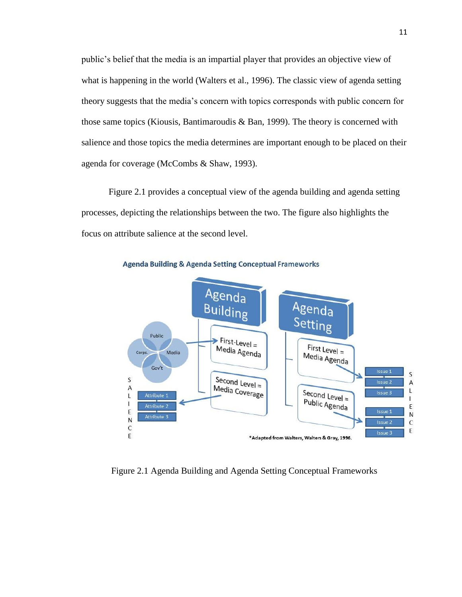public's belief that the media is an impartial player that provides an objective view of what is happening in the world (Walters et al., 1996). The classic view of agenda setting theory suggests that the media's concern with topics corresponds with public concern for those same topics (Kiousis, Bantimaroudis & Ban, 1999). The theory is concerned with salience and those topics the media determines are important enough to be placed on their agenda for coverage (McCombs & Shaw, 1993).

Figure 2.1 provides a conceptual view of the agenda building and agenda setting processes, depicting the relationships between the two. The figure also highlights the focus on attribute salience at the second level.



**Agenda Building & Agenda Setting Conceptual Frameworks** 

Figure 2.1 Agenda Building and Agenda Setting Conceptual Frameworks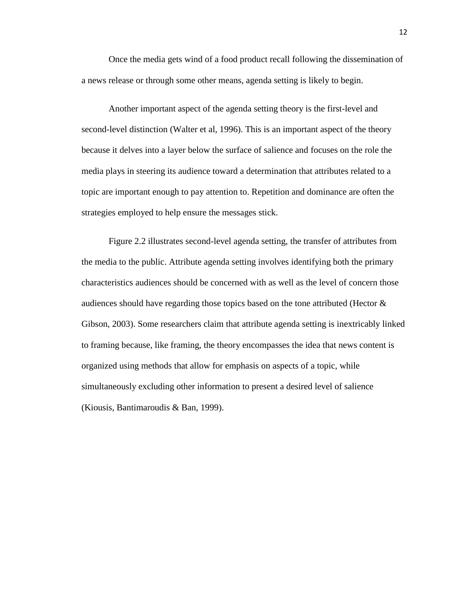Once the media gets wind of a food product recall following the dissemination of a news release or through some other means, agenda setting is likely to begin.

Another important aspect of the agenda setting theory is the first-level and second-level distinction (Walter et al, 1996). This is an important aspect of the theory because it delves into a layer below the surface of salience and focuses on the role the media plays in steering its audience toward a determination that attributes related to a topic are important enough to pay attention to. Repetition and dominance are often the strategies employed to help ensure the messages stick.

Figure 2.2 illustrates second-level agenda setting, the transfer of attributes from the media to the public. Attribute agenda setting involves identifying both the primary characteristics audiences should be concerned with as well as the level of concern those audiences should have regarding those topics based on the tone attributed (Hector & Gibson, 2003). Some researchers claim that attribute agenda setting is inextricably linked to framing because, like framing, the theory encompasses the idea that news content is organized using methods that allow for emphasis on aspects of a topic, while simultaneously excluding other information to present a desired level of salience (Kiousis, Bantimaroudis & Ban, 1999).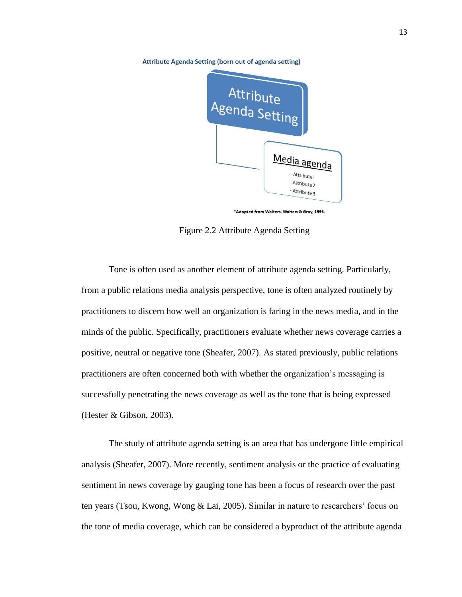Attribute Agenda Setting (born out of agenda setting)



\*Adapted from Walters, Walters & Gray, 1996.

Figure 2.2 Attribute Agenda Setting

Tone is often used as another element of attribute agenda setting. Particularly, from a public relations media analysis perspective, tone is often analyzed routinely by practitioners to discern how well an organization is faring in the news media, and in the minds of the public. Specifically, practitioners evaluate whether news coverage carries a positive, neutral or negative tone (Sheafer, 2007). As stated previously, public relations practitioners are often concerned both with whether the organization's messaging is successfully penetrating the news coverage as well as the tone that is being expressed (Hester & Gibson, 2003).

The study of attribute agenda setting is an area that has undergone little empirical analysis (Sheafer, 2007). More recently, sentiment analysis or the practice of evaluating sentiment in news coverage by gauging tone has been a focus of research over the past ten years (Tsou, Kwong, Wong & Lai, 2005). Similar in nature to researchers' focus on the tone of media coverage, which can be considered a byproduct of the attribute agenda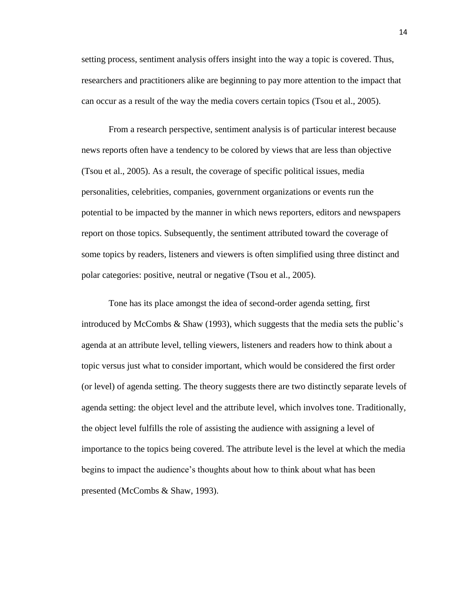setting process, sentiment analysis offers insight into the way a topic is covered. Thus, researchers and practitioners alike are beginning to pay more attention to the impact that can occur as a result of the way the media covers certain topics (Tsou et al., 2005).

From a research perspective, sentiment analysis is of particular interest because news reports often have a tendency to be colored by views that are less than objective (Tsou et al., 2005). As a result, the coverage of specific political issues, media personalities, celebrities, companies, government organizations or events run the potential to be impacted by the manner in which news reporters, editors and newspapers report on those topics. Subsequently, the sentiment attributed toward the coverage of some topics by readers, listeners and viewers is often simplified using three distinct and polar categories: positive, neutral or negative (Tsou et al., 2005).

Tone has its place amongst the idea of second-order agenda setting, first introduced by McCombs & Shaw (1993), which suggests that the media sets the public's agenda at an attribute level, telling viewers, listeners and readers how to think about a topic versus just what to consider important, which would be considered the first order (or level) of agenda setting. The theory suggests there are two distinctly separate levels of agenda setting: the object level and the attribute level, which involves tone. Traditionally, the object level fulfills the role of assisting the audience with assigning a level of importance to the topics being covered. The attribute level is the level at which the media begins to impact the audience's thoughts about how to think about what has been presented (McCombs & Shaw, 1993).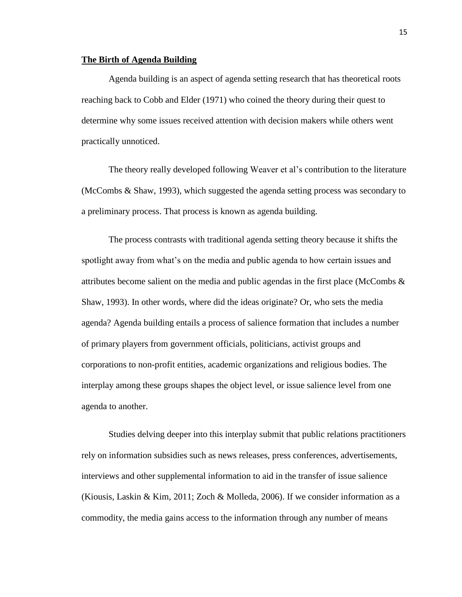#### **The Birth of Agenda Building**

Agenda building is an aspect of agenda setting research that has theoretical roots reaching back to Cobb and Elder (1971) who coined the theory during their quest to determine why some issues received attention with decision makers while others went practically unnoticed.

The theory really developed following Weaver et al's contribution to the literature (McCombs & Shaw, 1993), which suggested the agenda setting process was secondary to a preliminary process. That process is known as agenda building.

The process contrasts with traditional agenda setting theory because it shifts the spotlight away from what's on the media and public agenda to how certain issues and attributes become salient on the media and public agendas in the first place (McCombs & Shaw, 1993). In other words, where did the ideas originate? Or, who sets the media agenda? Agenda building entails a process of salience formation that includes a number of primary players from government officials, politicians, activist groups and corporations to non-profit entities, academic organizations and religious bodies. The interplay among these groups shapes the object level, or issue salience level from one agenda to another.

Studies delving deeper into this interplay submit that public relations practitioners rely on information subsidies such as news releases, press conferences, advertisements, interviews and other supplemental information to aid in the transfer of issue salience (Kiousis, Laskin & Kim, 2011; Zoch & Molleda, 2006). If we consider information as a commodity, the media gains access to the information through any number of means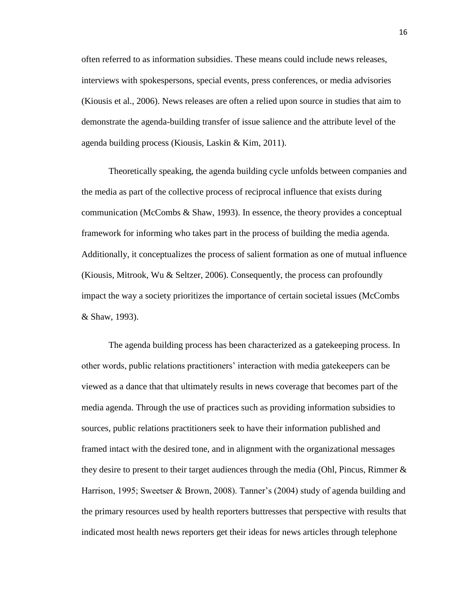often referred to as information subsidies. These means could include news releases, interviews with spokespersons, special events, press conferences, or media advisories (Kiousis et al., 2006). News releases are often a relied upon source in studies that aim to demonstrate the agenda-building transfer of issue salience and the attribute level of the agenda building process (Kiousis, Laskin & Kim, 2011).

Theoretically speaking, the agenda building cycle unfolds between companies and the media as part of the collective process of reciprocal influence that exists during communication (McCombs & Shaw, 1993). In essence, the theory provides a conceptual framework for informing who takes part in the process of building the media agenda. Additionally, it conceptualizes the process of salient formation as one of mutual influence (Kiousis, Mitrook, Wu & Seltzer, 2006). Consequently, the process can profoundly impact the way a society prioritizes the importance of certain societal issues (McCombs & Shaw, 1993).

The agenda building process has been characterized as a gatekeeping process. In other words, public relations practitioners' interaction with media gatekeepers can be viewed as a dance that that ultimately results in news coverage that becomes part of the media agenda. Through the use of practices such as providing information subsidies to sources, public relations practitioners seek to have their information published and framed intact with the desired tone, and in alignment with the organizational messages they desire to present to their target audiences through the media (Ohl, Pincus, Rimmer  $\&$ Harrison, 1995; Sweetser & Brown, 2008). Tanner's (2004) study of agenda building and the primary resources used by health reporters buttresses that perspective with results that indicated most health news reporters get their ideas for news articles through telephone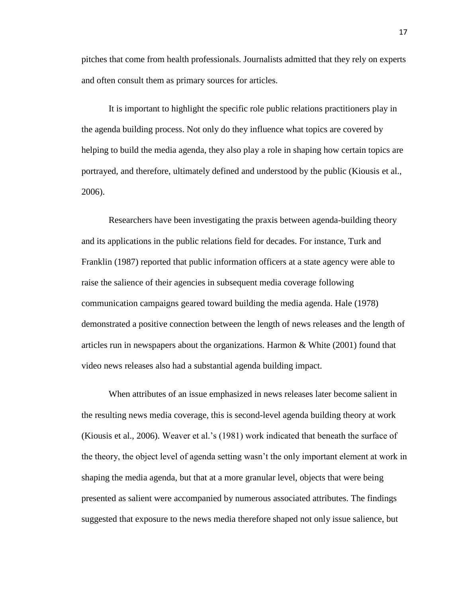pitches that come from health professionals. Journalists admitted that they rely on experts and often consult them as primary sources for articles.

It is important to highlight the specific role public relations practitioners play in the agenda building process. Not only do they influence what topics are covered by helping to build the media agenda, they also play a role in shaping how certain topics are portrayed, and therefore, ultimately defined and understood by the public (Kiousis et al., 2006).

Researchers have been investigating the praxis between agenda-building theory and its applications in the public relations field for decades. For instance, Turk and Franklin (1987) reported that public information officers at a state agency were able to raise the salience of their agencies in subsequent media coverage following communication campaigns geared toward building the media agenda. Hale (1978) demonstrated a positive connection between the length of news releases and the length of articles run in newspapers about the organizations. Harmon & White (2001) found that video news releases also had a substantial agenda building impact.

When attributes of an issue emphasized in news releases later become salient in the resulting news media coverage, this is second-level agenda building theory at work (Kiousis et al., 2006). Weaver et al.'s (1981) work indicated that beneath the surface of the theory, the object level of agenda setting wasn't the only important element at work in shaping the media agenda, but that at a more granular level, objects that were being presented as salient were accompanied by numerous associated attributes. The findings suggested that exposure to the news media therefore shaped not only issue salience, but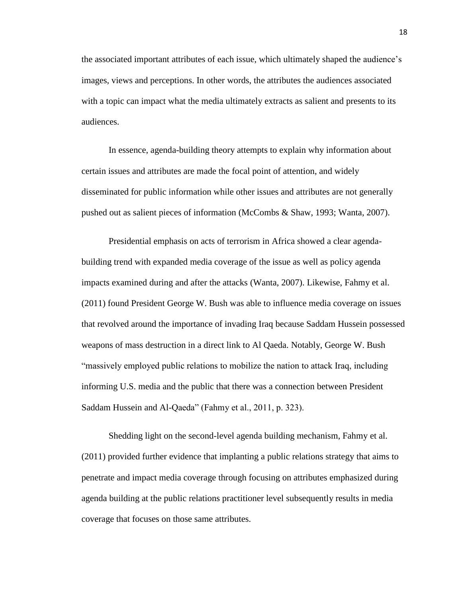the associated important attributes of each issue, which ultimately shaped the audience's images, views and perceptions. In other words, the attributes the audiences associated with a topic can impact what the media ultimately extracts as salient and presents to its audiences.

In essence, agenda-building theory attempts to explain why information about certain issues and attributes are made the focal point of attention, and widely disseminated for public information while other issues and attributes are not generally pushed out as salient pieces of information (McCombs & Shaw, 1993; Wanta, 2007).

Presidential emphasis on acts of terrorism in Africa showed a clear agendabuilding trend with expanded media coverage of the issue as well as policy agenda impacts examined during and after the attacks (Wanta, 2007). Likewise, Fahmy et al. (2011) found President George W. Bush was able to influence media coverage on issues that revolved around the importance of invading Iraq because Saddam Hussein possessed weapons of mass destruction in a direct link to Al Qaeda. Notably, George W. Bush "massively employed public relations to mobilize the nation to attack Iraq, including informing U.S. media and the public that there was a connection between President Saddam Hussein and Al-Qaeda" (Fahmy et al., 2011, p. 323).

Shedding light on the second-level agenda building mechanism, Fahmy et al. (2011) provided further evidence that implanting a public relations strategy that aims to penetrate and impact media coverage through focusing on attributes emphasized during agenda building at the public relations practitioner level subsequently results in media coverage that focuses on those same attributes.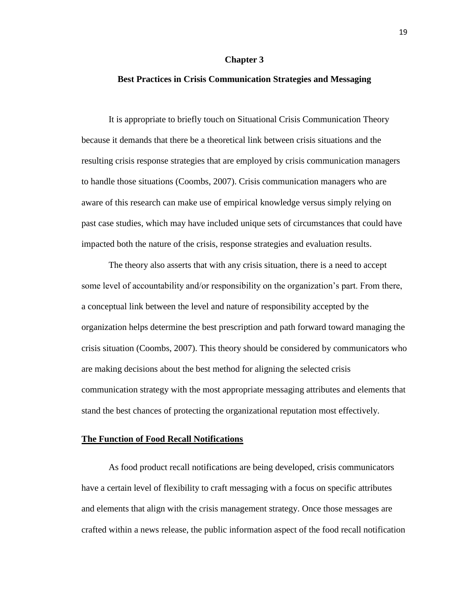#### **Chapter 3**

#### **Best Practices in Crisis Communication Strategies and Messaging**

It is appropriate to briefly touch on Situational Crisis Communication Theory because it demands that there be a theoretical link between crisis situations and the resulting crisis response strategies that are employed by crisis communication managers to handle those situations (Coombs, 2007). Crisis communication managers who are aware of this research can make use of empirical knowledge versus simply relying on past case studies, which may have included unique sets of circumstances that could have impacted both the nature of the crisis, response strategies and evaluation results.

The theory also asserts that with any crisis situation, there is a need to accept some level of accountability and/or responsibility on the organization's part. From there, a conceptual link between the level and nature of responsibility accepted by the organization helps determine the best prescription and path forward toward managing the crisis situation (Coombs, 2007). This theory should be considered by communicators who are making decisions about the best method for aligning the selected crisis communication strategy with the most appropriate messaging attributes and elements that stand the best chances of protecting the organizational reputation most effectively.

#### **The Function of Food Recall Notifications**

As food product recall notifications are being developed, crisis communicators have a certain level of flexibility to craft messaging with a focus on specific attributes and elements that align with the crisis management strategy. Once those messages are crafted within a news release, the public information aspect of the food recall notification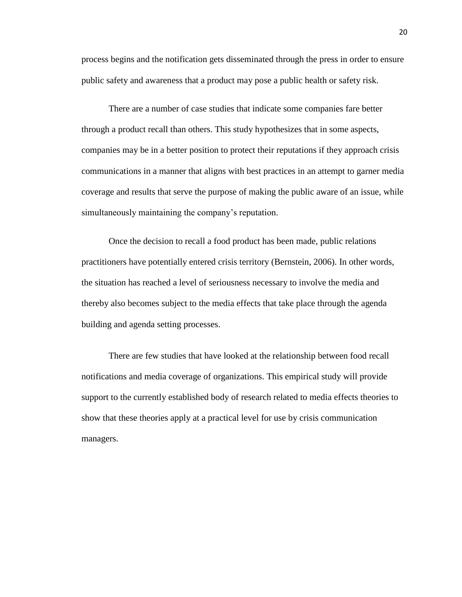process begins and the notification gets disseminated through the press in order to ensure public safety and awareness that a product may pose a public health or safety risk.

There are a number of case studies that indicate some companies fare better through a product recall than others. This study hypothesizes that in some aspects, companies may be in a better position to protect their reputations if they approach crisis communications in a manner that aligns with best practices in an attempt to garner media coverage and results that serve the purpose of making the public aware of an issue, while simultaneously maintaining the company's reputation.

Once the decision to recall a food product has been made, public relations practitioners have potentially entered crisis territory (Bernstein, 2006). In other words, the situation has reached a level of seriousness necessary to involve the media and thereby also becomes subject to the media effects that take place through the agenda building and agenda setting processes.

There are few studies that have looked at the relationship between food recall notifications and media coverage of organizations. This empirical study will provide support to the currently established body of research related to media effects theories to show that these theories apply at a practical level for use by crisis communication managers.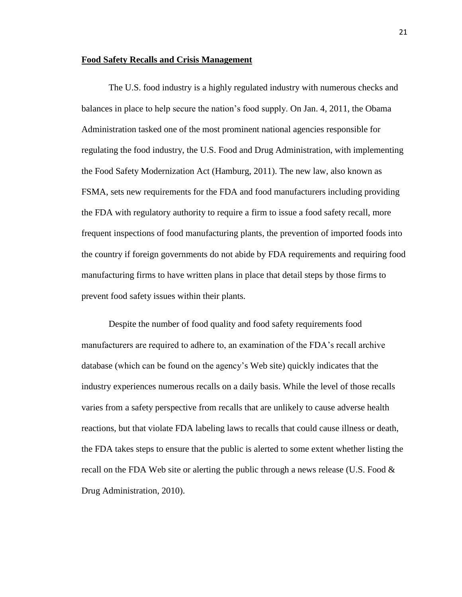#### **Food Safety Recalls and Crisis Management**

The U.S. food industry is a highly regulated industry with numerous checks and balances in place to help secure the nation's food supply. On Jan. 4, 2011, the Obama Administration tasked one of the most prominent national agencies responsible for regulating the food industry, the U.S. Food and Drug Administration, with implementing the Food Safety Modernization Act (Hamburg, 2011). The new law, also known as FSMA, sets new requirements for the FDA and food manufacturers including providing the FDA with regulatory authority to require a firm to issue a food safety recall, more frequent inspections of food manufacturing plants, the prevention of imported foods into the country if foreign governments do not abide by FDA requirements and requiring food manufacturing firms to have written plans in place that detail steps by those firms to prevent food safety issues within their plants.

Despite the number of food quality and food safety requirements food manufacturers are required to adhere to, an examination of the FDA's recall archive database (which can be found on the agency's Web site) quickly indicates that the industry experiences numerous recalls on a daily basis. While the level of those recalls varies from a safety perspective from recalls that are unlikely to cause adverse health reactions, but that violate FDA labeling laws to recalls that could cause illness or death, the FDA takes steps to ensure that the public is alerted to some extent whether listing the recall on the FDA Web site or alerting the public through a news release (U.S. Food & Drug Administration, 2010).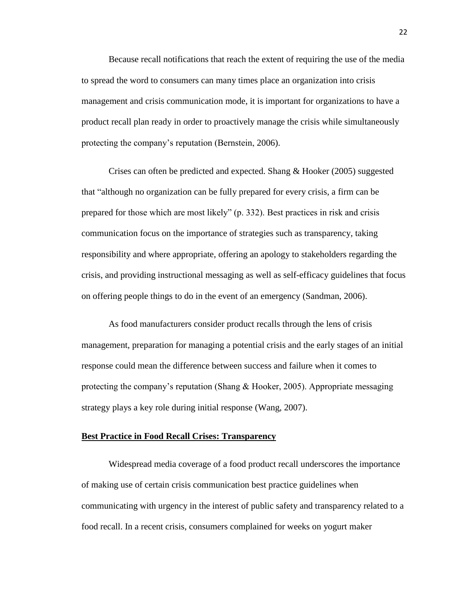Because recall notifications that reach the extent of requiring the use of the media to spread the word to consumers can many times place an organization into crisis management and crisis communication mode, it is important for organizations to have a product recall plan ready in order to proactively manage the crisis while simultaneously protecting the company's reputation (Bernstein, 2006).

Crises can often be predicted and expected. Shang & Hooker (2005) suggested that "although no organization can be fully prepared for every crisis, a firm can be prepared for those which are most likely" (p. 332). Best practices in risk and crisis communication focus on the importance of strategies such as transparency, taking responsibility and where appropriate, offering an apology to stakeholders regarding the crisis, and providing instructional messaging as well as self-efficacy guidelines that focus on offering people things to do in the event of an emergency (Sandman, 2006).

As food manufacturers consider product recalls through the lens of crisis management, preparation for managing a potential crisis and the early stages of an initial response could mean the difference between success and failure when it comes to protecting the company's reputation (Shang  $& \text{Hooke}$ , 2005). Appropriate messaging strategy plays a key role during initial response (Wang, 2007).

#### **Best Practice in Food Recall Crises: Transparency**

Widespread media coverage of a food product recall underscores the importance of making use of certain crisis communication best practice guidelines when communicating with urgency in the interest of public safety and transparency related to a food recall. In a recent crisis, consumers complained for weeks on yogurt maker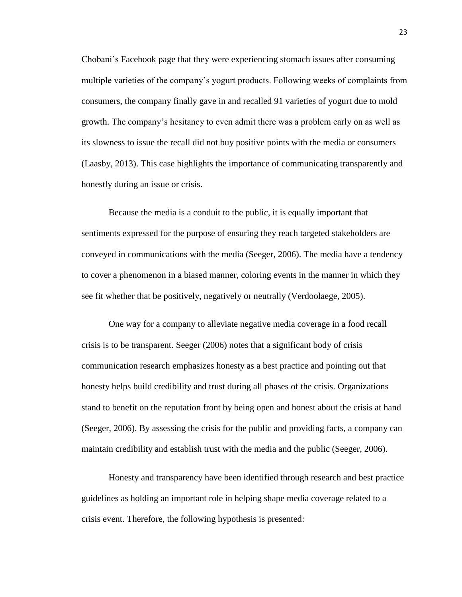Chobani's Facebook page that they were experiencing stomach issues after consuming multiple varieties of the company's yogurt products. Following weeks of complaints from consumers, the company finally gave in and recalled 91 varieties of yogurt due to mold growth. The company's hesitancy to even admit there was a problem early on as well as its slowness to issue the recall did not buy positive points with the media or consumers (Laasby, 2013). This case highlights the importance of communicating transparently and honestly during an issue or crisis.

Because the media is a conduit to the public, it is equally important that sentiments expressed for the purpose of ensuring they reach targeted stakeholders are conveyed in communications with the media (Seeger, 2006). The media have a tendency to cover a phenomenon in a biased manner, coloring events in the manner in which they see fit whether that be positively, negatively or neutrally (Verdoolaege, 2005).

One way for a company to alleviate negative media coverage in a food recall crisis is to be transparent. Seeger (2006) notes that a significant body of crisis communication research emphasizes honesty as a best practice and pointing out that honesty helps build credibility and trust during all phases of the crisis. Organizations stand to benefit on the reputation front by being open and honest about the crisis at hand (Seeger, 2006). By assessing the crisis for the public and providing facts, a company can maintain credibility and establish trust with the media and the public (Seeger, 2006).

Honesty and transparency have been identified through research and best practice guidelines as holding an important role in helping shape media coverage related to a crisis event. Therefore, the following hypothesis is presented: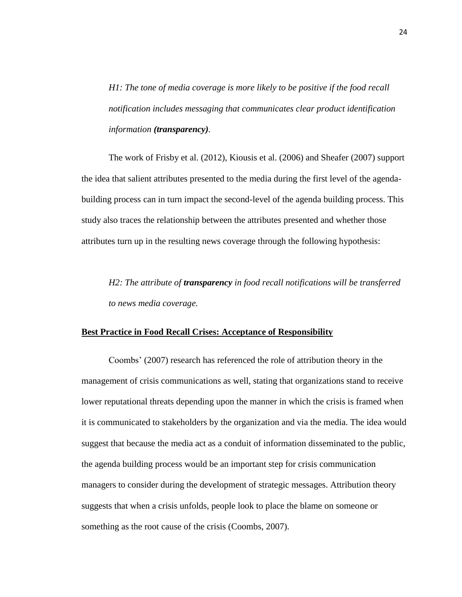*H1: The tone of media coverage is more likely to be positive if the food recall notification includes messaging that communicates clear product identification information (transparency).*

The work of Frisby et al. (2012), Kiousis et al. (2006) and Sheafer (2007) support the idea that salient attributes presented to the media during the first level of the agendabuilding process can in turn impact the second-level of the agenda building process. This study also traces the relationship between the attributes presented and whether those attributes turn up in the resulting news coverage through the following hypothesis:

*H2: The attribute of transparency in food recall notifications will be transferred to news media coverage.*

#### **Best Practice in Food Recall Crises: Acceptance of Responsibility**

Coombs' (2007) research has referenced the role of attribution theory in the management of crisis communications as well, stating that organizations stand to receive lower reputational threats depending upon the manner in which the crisis is framed when it is communicated to stakeholders by the organization and via the media. The idea would suggest that because the media act as a conduit of information disseminated to the public, the agenda building process would be an important step for crisis communication managers to consider during the development of strategic messages. Attribution theory suggests that when a crisis unfolds, people look to place the blame on someone or something as the root cause of the crisis (Coombs, 2007).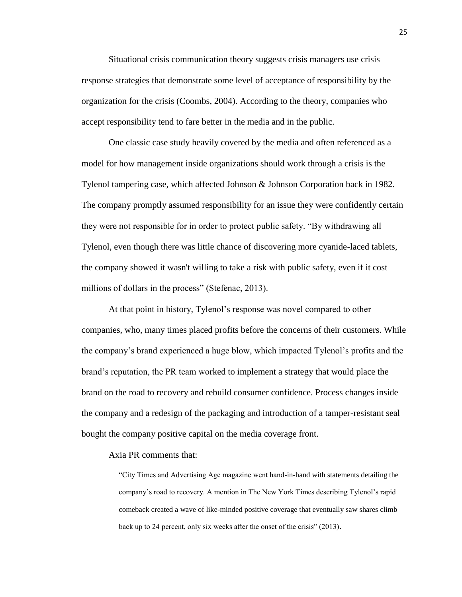Situational crisis communication theory suggests crisis managers use crisis response strategies that demonstrate some level of acceptance of responsibility by the organization for the crisis (Coombs, 2004). According to the theory, companies who accept responsibility tend to fare better in the media and in the public.

One classic case study heavily covered by the media and often referenced as a model for how management inside organizations should work through a crisis is the Tylenol tampering case, which affected Johnson & Johnson Corporation back in 1982. The company promptly assumed responsibility for an issue they were confidently certain they were not responsible for in order to protect public safety. "By withdrawing all Tylenol, even though there was little chance of discovering more cyanide-laced tablets, the company showed it wasn't willing to take a risk with public safety, even if it cost millions of dollars in the process" (Stefenac, 2013).

At that point in history, Tylenol's response was novel compared to other companies, who, many times placed profits before the concerns of their customers. While the company's brand experienced a huge blow, which impacted Tylenol's profits and the brand's reputation, the PR team worked to implement a strategy that would place the brand on the road to recovery and rebuild consumer confidence. Process changes inside the company and a redesign of the packaging and introduction of a tamper-resistant seal bought the company positive capital on the media coverage front.

#### Axia PR comments that:

"City Times and Advertising Age magazine went hand-in-hand with statements detailing the company's road to recovery. A mention in The New York Times describing Tylenol's rapid comeback created a wave of like-minded positive coverage that eventually saw shares climb back up to 24 percent, only six weeks after the onset of the crisis" (2013).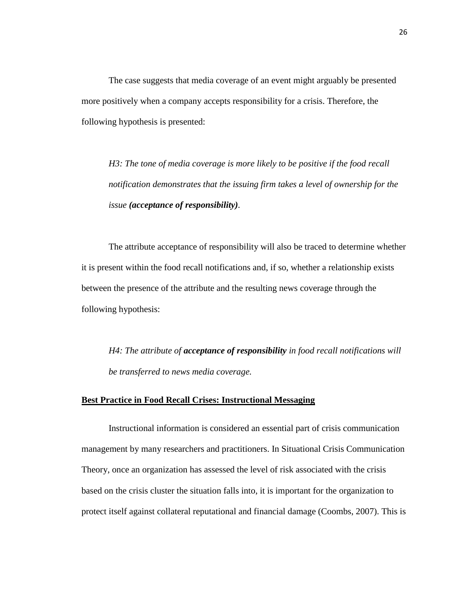The case suggests that media coverage of an event might arguably be presented more positively when a company accepts responsibility for a crisis. Therefore, the following hypothesis is presented:

*H3: The tone of media coverage is more likely to be positive if the food recall notification demonstrates that the issuing firm takes a level of ownership for the issue (acceptance of responsibility).* 

The attribute acceptance of responsibility will also be traced to determine whether it is present within the food recall notifications and, if so, whether a relationship exists between the presence of the attribute and the resulting news coverage through the following hypothesis:

*H4: The attribute of acceptance of responsibility in food recall notifications will be transferred to news media coverage.*

#### **Best Practice in Food Recall Crises: Instructional Messaging**

Instructional information is considered an essential part of crisis communication management by many researchers and practitioners. In Situational Crisis Communication Theory, once an organization has assessed the level of risk associated with the crisis based on the crisis cluster the situation falls into, it is important for the organization to protect itself against collateral reputational and financial damage (Coombs, 2007). This is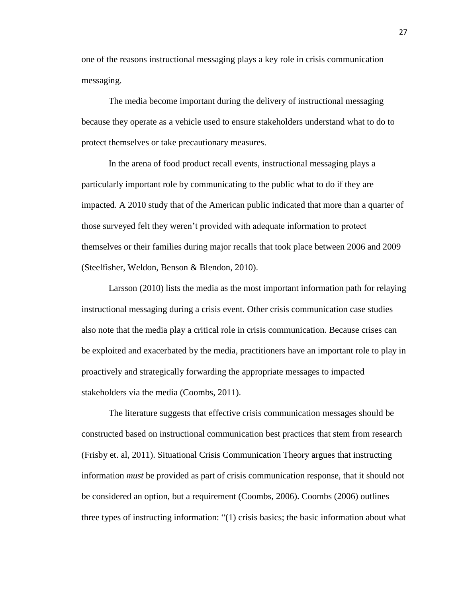one of the reasons instructional messaging plays a key role in crisis communication messaging.

The media become important during the delivery of instructional messaging because they operate as a vehicle used to ensure stakeholders understand what to do to protect themselves or take precautionary measures.

In the arena of food product recall events, instructional messaging plays a particularly important role by communicating to the public what to do if they are impacted. A 2010 study that of the American public indicated that more than a quarter of those surveyed felt they weren't provided with adequate information to protect themselves or their families during major recalls that took place between 2006 and 2009 (Steelfisher, Weldon, Benson & Blendon, 2010).

Larsson (2010) lists the media as the most important information path for relaying instructional messaging during a crisis event. Other crisis communication case studies also note that the media play a critical role in crisis communication. Because crises can be exploited and exacerbated by the media, practitioners have an important role to play in proactively and strategically forwarding the appropriate messages to impacted stakeholders via the media (Coombs, 2011).

The literature suggests that effective crisis communication messages should be constructed based on instructional communication best practices that stem from research (Frisby et. al, 2011). Situational Crisis Communication Theory argues that instructing information *must* be provided as part of crisis communication response, that it should not be considered an option, but a requirement (Coombs, 2006). Coombs (2006) outlines three types of instructing information: "(1) crisis basics; the basic information about what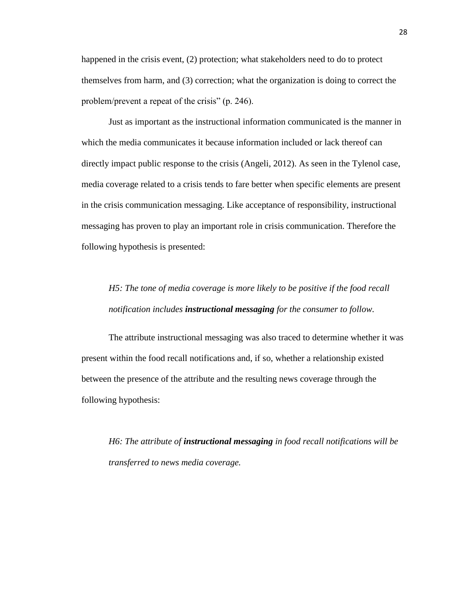happened in the crisis event, (2) protection; what stakeholders need to do to protect themselves from harm, and (3) correction; what the organization is doing to correct the problem/prevent a repeat of the crisis" (p. 246).

 Just as important as the instructional information communicated is the manner in which the media communicates it because information included or lack thereof can directly impact public response to the crisis (Angeli, 2012). As seen in the Tylenol case, media coverage related to a crisis tends to fare better when specific elements are present in the crisis communication messaging. Like acceptance of responsibility, instructional messaging has proven to play an important role in crisis communication. Therefore the following hypothesis is presented:

## *H5: The tone of media coverage is more likely to be positive if the food recall notification includes instructional messaging for the consumer to follow.*

The attribute instructional messaging was also traced to determine whether it was present within the food recall notifications and, if so, whether a relationship existed between the presence of the attribute and the resulting news coverage through the following hypothesis:

*H6: The attribute of instructional messaging in food recall notifications will be transferred to news media coverage.*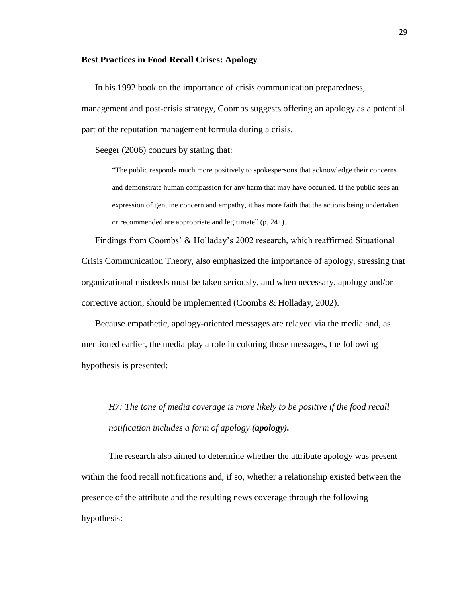#### **Best Practices in Food Recall Crises: Apology**

In his 1992 book on the importance of crisis communication preparedness,

management and post-crisis strategy, Coombs suggests offering an apology as a potential part of the reputation management formula during a crisis.

Seeger (2006) concurs by stating that:

"The public responds much more positively to spokespersons that acknowledge their concerns and demonstrate human compassion for any harm that may have occurred. If the public sees an expression of genuine concern and empathy, it has more faith that the actions being undertaken or recommended are appropriate and legitimate" (p. 241).

Findings from Coombs' & Holladay's 2002 research, which reaffirmed Situational Crisis Communication Theory, also emphasized the importance of apology, stressing that organizational misdeeds must be taken seriously, and when necessary, apology and/or corrective action, should be implemented (Coombs & Holladay, 2002).

Because empathetic, apology-oriented messages are relayed via the media and, as mentioned earlier, the media play a role in coloring those messages, the following hypothesis is presented:

*H7: The tone of media coverage is more likely to be positive if the food recall notification includes a form of apology (apology).*

The research also aimed to determine whether the attribute apology was present within the food recall notifications and, if so, whether a relationship existed between the presence of the attribute and the resulting news coverage through the following hypothesis: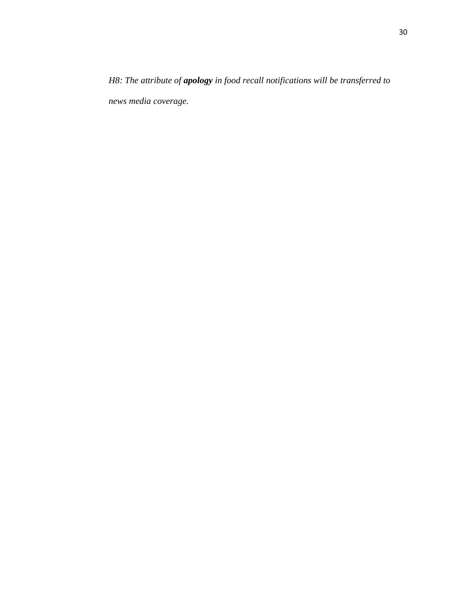*H8: The attribute of apology in food recall notifications will be transferred to news media coverage.*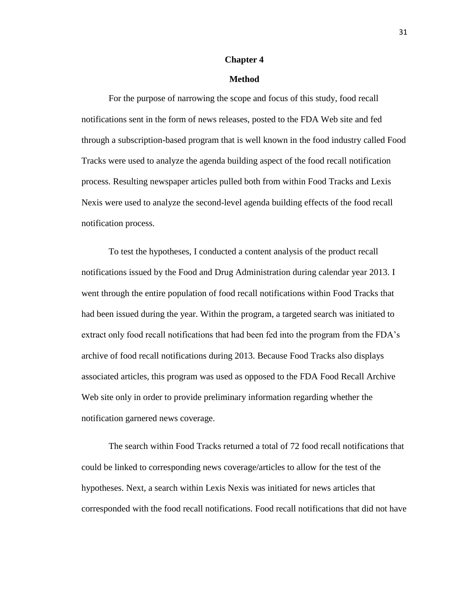#### **Chapter 4**

#### **Method**

For the purpose of narrowing the scope and focus of this study, food recall notifications sent in the form of news releases, posted to the FDA Web site and fed through a subscription-based program that is well known in the food industry called Food Tracks were used to analyze the agenda building aspect of the food recall notification process. Resulting newspaper articles pulled both from within Food Tracks and Lexis Nexis were used to analyze the second-level agenda building effects of the food recall notification process.

To test the hypotheses, I conducted a content analysis of the product recall notifications issued by the Food and Drug Administration during calendar year 2013. I went through the entire population of food recall notifications within Food Tracks that had been issued during the year. Within the program, a targeted search was initiated to extract only food recall notifications that had been fed into the program from the FDA's archive of food recall notifications during 2013. Because Food Tracks also displays associated articles, this program was used as opposed to the FDA Food Recall Archive Web site only in order to provide preliminary information regarding whether the notification garnered news coverage.

The search within Food Tracks returned a total of 72 food recall notifications that could be linked to corresponding news coverage/articles to allow for the test of the hypotheses. Next, a search within Lexis Nexis was initiated for news articles that corresponded with the food recall notifications. Food recall notifications that did not have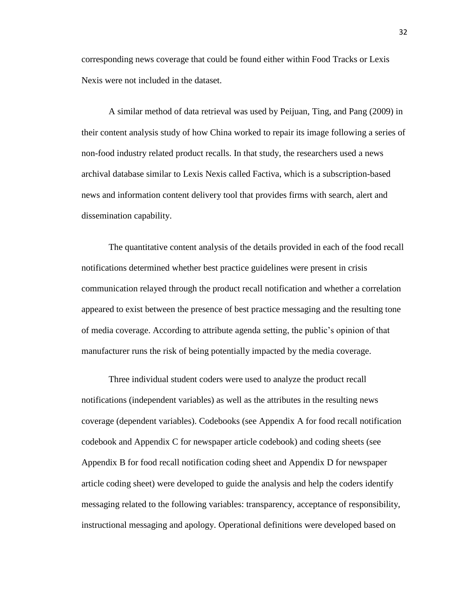corresponding news coverage that could be found either within Food Tracks or Lexis Nexis were not included in the dataset.

A similar method of data retrieval was used by Peijuan, Ting, and Pang (2009) in their content analysis study of how China worked to repair its image following a series of non-food industry related product recalls. In that study, the researchers used a news archival database similar to Lexis Nexis called Factiva, which is a subscription-based news and information content delivery tool that provides firms with search, alert and dissemination capability.

The quantitative content analysis of the details provided in each of the food recall notifications determined whether best practice guidelines were present in crisis communication relayed through the product recall notification and whether a correlation appeared to exist between the presence of best practice messaging and the resulting tone of media coverage. According to attribute agenda setting, the public's opinion of that manufacturer runs the risk of being potentially impacted by the media coverage.

Three individual student coders were used to analyze the product recall notifications (independent variables) as well as the attributes in the resulting news coverage (dependent variables). Codebooks (see Appendix A for food recall notification codebook and Appendix C for newspaper article codebook) and coding sheets (see Appendix B for food recall notification coding sheet and Appendix D for newspaper article coding sheet) were developed to guide the analysis and help the coders identify messaging related to the following variables: transparency, acceptance of responsibility, instructional messaging and apology. Operational definitions were developed based on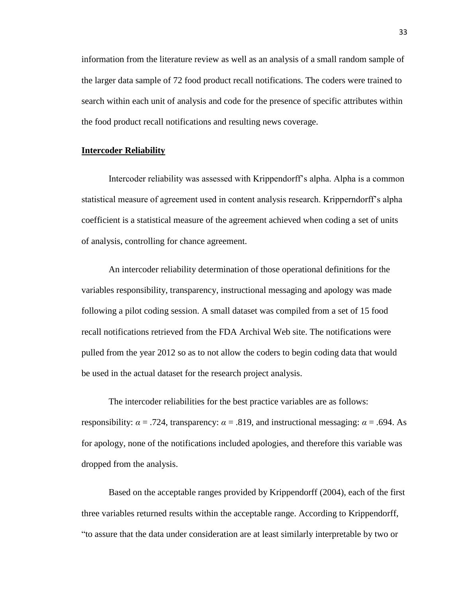information from the literature review as well as an analysis of a small random sample of the larger data sample of 72 food product recall notifications. The coders were trained to search within each unit of analysis and code for the presence of specific attributes within the food product recall notifications and resulting news coverage.

#### **Intercoder Reliability**

Intercoder reliability was assessed with Krippendorff's alpha. Alpha is a common statistical measure of agreement used in content analysis research. Kripperndorff's alpha coefficient is a statistical measure of the agreement achieved when coding a set of units of analysis, controlling for chance agreement.

An intercoder reliability determination of those operational definitions for the variables responsibility, transparency, instructional messaging and apology was made following a pilot coding session. A small dataset was compiled from a set of 15 food recall notifications retrieved from the FDA Archival Web site. The notifications were pulled from the year 2012 so as to not allow the coders to begin coding data that would be used in the actual dataset for the research project analysis.

The intercoder reliabilities for the best practice variables are as follows: responsibility:  $\alpha$  = .724, transparency:  $\alpha$  = .819, and instructional messaging:  $\alpha$  = .694. As for apology, none of the notifications included apologies, and therefore this variable was dropped from the analysis.

Based on the acceptable ranges provided by Krippendorff (2004), each of the first three variables returned results within the acceptable range. According to Krippendorff, "to assure that the data under consideration are at least similarly interpretable by two or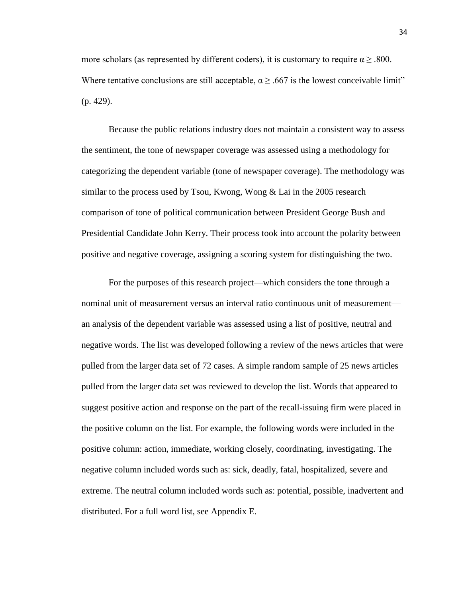more scholars (as represented by different coders), it is customary to require  $\alpha$   $> 0.800$ . Where tentative conclusions are still acceptable,  $\alpha \geq .667$  is the lowest conceivable limit" (p. 429).

Because the public relations industry does not maintain a consistent way to assess the sentiment, the tone of newspaper coverage was assessed using a methodology for categorizing the dependent variable (tone of newspaper coverage). The methodology was similar to the process used by Tsou, Kwong, Wong & Lai in the 2005 research comparison of tone of political communication between President George Bush and Presidential Candidate John Kerry. Their process took into account the polarity between positive and negative coverage, assigning a scoring system for distinguishing the two.

For the purposes of this research project—which considers the tone through a nominal unit of measurement versus an interval ratio continuous unit of measurement an analysis of the dependent variable was assessed using a list of positive, neutral and negative words. The list was developed following a review of the news articles that were pulled from the larger data set of 72 cases. A simple random sample of 25 news articles pulled from the larger data set was reviewed to develop the list. Words that appeared to suggest positive action and response on the part of the recall-issuing firm were placed in the positive column on the list. For example, the following words were included in the positive column: action, immediate, working closely, coordinating, investigating. The negative column included words such as: sick, deadly, fatal, hospitalized, severe and extreme. The neutral column included words such as: potential, possible, inadvertent and distributed. For a full word list, see Appendix E.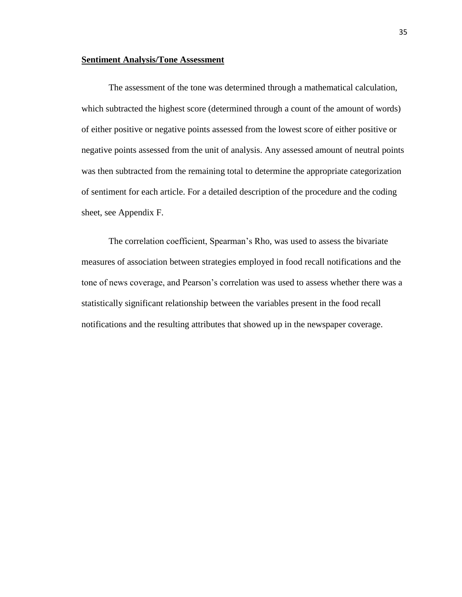#### **Sentiment Analysis/Tone Assessment**

The assessment of the tone was determined through a mathematical calculation, which subtracted the highest score (determined through a count of the amount of words) of either positive or negative points assessed from the lowest score of either positive or negative points assessed from the unit of analysis. Any assessed amount of neutral points was then subtracted from the remaining total to determine the appropriate categorization of sentiment for each article. For a detailed description of the procedure and the coding sheet, see Appendix F.

The correlation coefficient, Spearman's Rho, was used to assess the bivariate measures of association between strategies employed in food recall notifications and the tone of news coverage, and Pearson's correlation was used to assess whether there was a statistically significant relationship between the variables present in the food recall notifications and the resulting attributes that showed up in the newspaper coverage.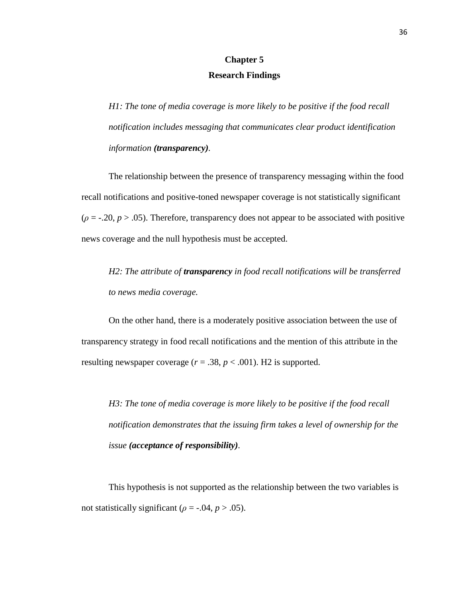## **Chapter 5 Research Findings**

*H1: The tone of media coverage is more likely to be positive if the food recall notification includes messaging that communicates clear product identification information (transparency).*

The relationship between the presence of transparency messaging within the food recall notifications and positive-toned newspaper coverage is not statistically significant  $(\rho = -0.20, p > 0.05)$ . Therefore, transparency does not appear to be associated with positive news coverage and the null hypothesis must be accepted.

*H2: The attribute of transparency in food recall notifications will be transferred to news media coverage.*

On the other hand, there is a moderately positive association between the use of transparency strategy in food recall notifications and the mention of this attribute in the resulting newspaper coverage  $(r = .38, p < .001)$ . H<sub>2</sub> is supported.

*H3: The tone of media coverage is more likely to be positive if the food recall notification demonstrates that the issuing firm takes a level of ownership for the issue (acceptance of responsibility).* 

This hypothesis is not supported as the relationship between the two variables is not statistically significant ( $\rho = -0.04$ ,  $p > 0.05$ ).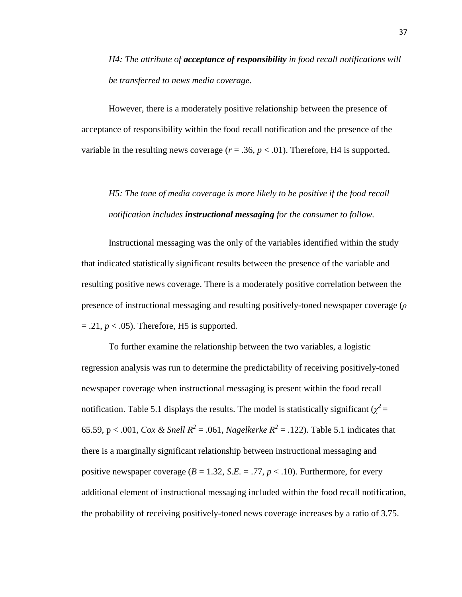*H4: The attribute of acceptance of responsibility in food recall notifications will be transferred to news media coverage.*

However, there is a moderately positive relationship between the presence of acceptance of responsibility within the food recall notification and the presence of the variable in the resulting news coverage  $(r = .36, p < .01)$ . Therefore, H4 is supported.

## *H5: The tone of media coverage is more likely to be positive if the food recall notification includes instructional messaging for the consumer to follow.*

Instructional messaging was the only of the variables identified within the study that indicated statistically significant results between the presence of the variable and resulting positive news coverage. There is a moderately positive correlation between the presence of instructional messaging and resulting positively-toned newspaper coverage (*ρ*  $= .21, p < .05$ ). Therefore, H5 is supported.

To further examine the relationship between the two variables, a logistic regression analysis was run to determine the predictability of receiving positively-toned newspaper coverage when instructional messaging is present within the food recall notification. Table 5.1 displays the results. The model is statistically significant ( $\chi^2$  = 65.59, p < .001, *Cox & Snell*  $R^2 = .061$ , *Nagelkerke*  $R^2 = .122$ ). Table 5.1 indicates that there is a marginally significant relationship between instructional messaging and positive newspaper coverage  $(B = 1.32, S.E. = .77, p < .10)$ . Furthermore, for every additional element of instructional messaging included within the food recall notification, the probability of receiving positively-toned news coverage increases by a ratio of 3.75.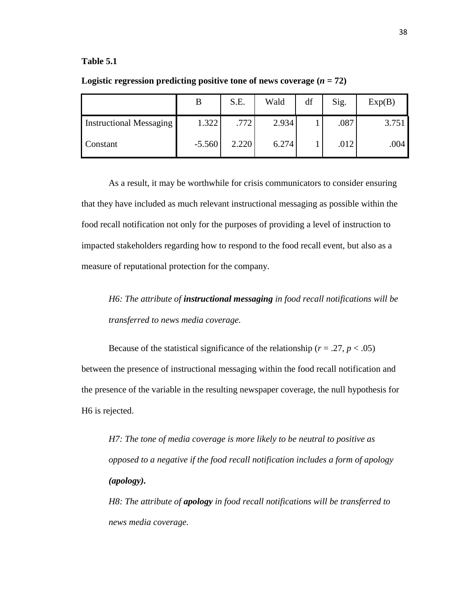#### **Table 5.1**

|                                |          | S.E.  | Wald  | df | Sig. | Exp(B) |
|--------------------------------|----------|-------|-------|----|------|--------|
| <b>Instructional Messaging</b> | 1.322    | .772  | 2.934 |    | .087 | 3.751  |
| Constant                       | $-5.560$ | 2.220 | 6.274 |    | .012 | .004   |

**Logistic regression predicting positive tone of news coverage**  $(n = 72)$ 

As a result, it may be worthwhile for crisis communicators to consider ensuring that they have included as much relevant instructional messaging as possible within the food recall notification not only for the purposes of providing a level of instruction to impacted stakeholders regarding how to respond to the food recall event, but also as a measure of reputational protection for the company.

*H6: The attribute of instructional messaging in food recall notifications will be transferred to news media coverage.* 

Because of the statistical significance of the relationship ( $r = .27$ ,  $p < .05$ ) between the presence of instructional messaging within the food recall notification and the presence of the variable in the resulting newspaper coverage, the null hypothesis for H6 is rejected.

*H7: The tone of media coverage is more likely to be neutral to positive as opposed to a negative if the food recall notification includes a form of apology (apology).*

*H8: The attribute of apology in food recall notifications will be transferred to news media coverage.*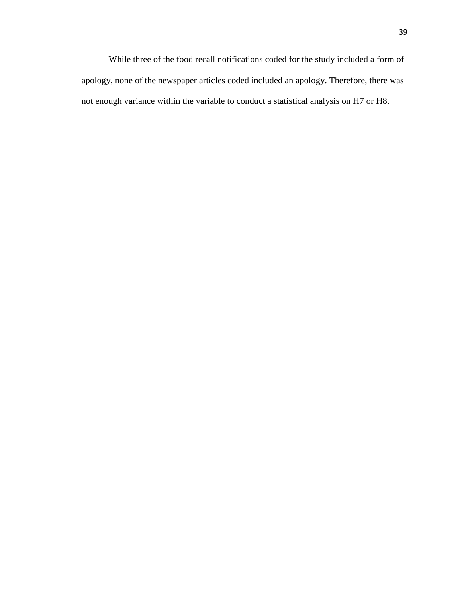While three of the food recall notifications coded for the study included a form of apology, none of the newspaper articles coded included an apology. Therefore, there was not enough variance within the variable to conduct a statistical analysis on H7 or H8.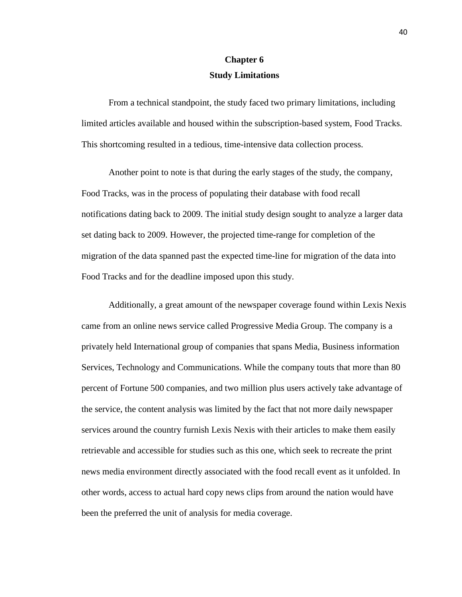## **Chapter 6 Study Limitations**

From a technical standpoint, the study faced two primary limitations, including limited articles available and housed within the subscription-based system, Food Tracks. This shortcoming resulted in a tedious, time-intensive data collection process.

Another point to note is that during the early stages of the study, the company, Food Tracks, was in the process of populating their database with food recall notifications dating back to 2009. The initial study design sought to analyze a larger data set dating back to 2009. However, the projected time-range for completion of the migration of the data spanned past the expected time-line for migration of the data into Food Tracks and for the deadline imposed upon this study.

Additionally, a great amount of the newspaper coverage found within Lexis Nexis came from an online news service called Progressive Media Group. The company is a privately held International group of companies that spans Media, Business information Services, Technology and Communications. While the company touts that more than 80 percent of Fortune 500 companies, and two million plus users actively take advantage of the service, the content analysis was limited by the fact that not more daily newspaper services around the country furnish Lexis Nexis with their articles to make them easily retrievable and accessible for studies such as this one, which seek to recreate the print news media environment directly associated with the food recall event as it unfolded. In other words, access to actual hard copy news clips from around the nation would have been the preferred the unit of analysis for media coverage.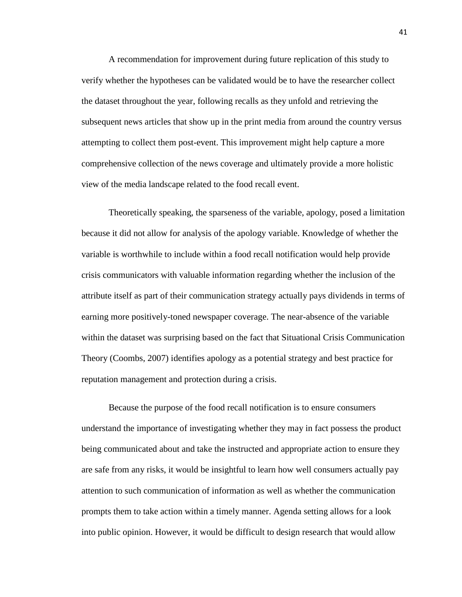A recommendation for improvement during future replication of this study to verify whether the hypotheses can be validated would be to have the researcher collect the dataset throughout the year, following recalls as they unfold and retrieving the subsequent news articles that show up in the print media from around the country versus attempting to collect them post-event. This improvement might help capture a more comprehensive collection of the news coverage and ultimately provide a more holistic view of the media landscape related to the food recall event.

Theoretically speaking, the sparseness of the variable, apology, posed a limitation because it did not allow for analysis of the apology variable. Knowledge of whether the variable is worthwhile to include within a food recall notification would help provide crisis communicators with valuable information regarding whether the inclusion of the attribute itself as part of their communication strategy actually pays dividends in terms of earning more positively-toned newspaper coverage. The near-absence of the variable within the dataset was surprising based on the fact that Situational Crisis Communication Theory (Coombs, 2007) identifies apology as a potential strategy and best practice for reputation management and protection during a crisis.

Because the purpose of the food recall notification is to ensure consumers understand the importance of investigating whether they may in fact possess the product being communicated about and take the instructed and appropriate action to ensure they are safe from any risks, it would be insightful to learn how well consumers actually pay attention to such communication of information as well as whether the communication prompts them to take action within a timely manner. Agenda setting allows for a look into public opinion. However, it would be difficult to design research that would allow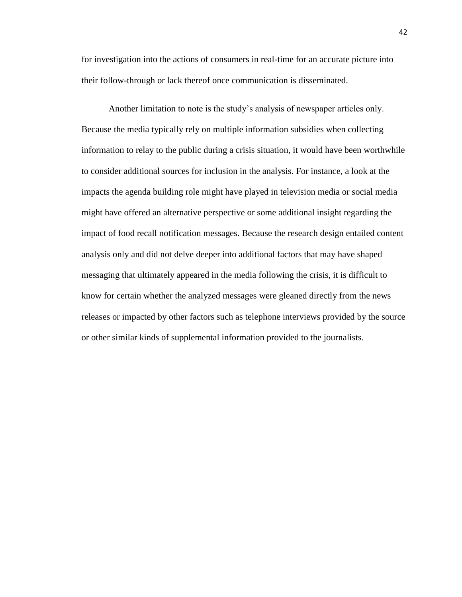for investigation into the actions of consumers in real-time for an accurate picture into their follow-through or lack thereof once communication is disseminated.

Another limitation to note is the study's analysis of newspaper articles only. Because the media typically rely on multiple information subsidies when collecting information to relay to the public during a crisis situation, it would have been worthwhile to consider additional sources for inclusion in the analysis. For instance, a look at the impacts the agenda building role might have played in television media or social media might have offered an alternative perspective or some additional insight regarding the impact of food recall notification messages. Because the research design entailed content analysis only and did not delve deeper into additional factors that may have shaped messaging that ultimately appeared in the media following the crisis, it is difficult to know for certain whether the analyzed messages were gleaned directly from the news releases or impacted by other factors such as telephone interviews provided by the source or other similar kinds of supplemental information provided to the journalists.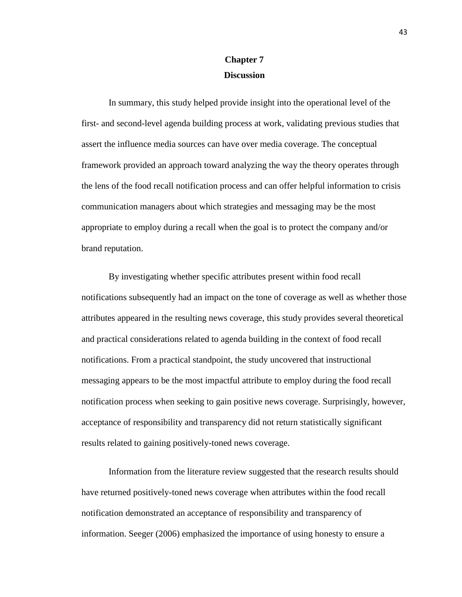## **Chapter 7 Discussion**

In summary, this study helped provide insight into the operational level of the first- and second-level agenda building process at work, validating previous studies that assert the influence media sources can have over media coverage. The conceptual framework provided an approach toward analyzing the way the theory operates through the lens of the food recall notification process and can offer helpful information to crisis communication managers about which strategies and messaging may be the most appropriate to employ during a recall when the goal is to protect the company and/or brand reputation.

By investigating whether specific attributes present within food recall notifications subsequently had an impact on the tone of coverage as well as whether those attributes appeared in the resulting news coverage, this study provides several theoretical and practical considerations related to agenda building in the context of food recall notifications. From a practical standpoint, the study uncovered that instructional messaging appears to be the most impactful attribute to employ during the food recall notification process when seeking to gain positive news coverage. Surprisingly, however, acceptance of responsibility and transparency did not return statistically significant results related to gaining positively-toned news coverage.

Information from the literature review suggested that the research results should have returned positively-toned news coverage when attributes within the food recall notification demonstrated an acceptance of responsibility and transparency of information. Seeger (2006) emphasized the importance of using honesty to ensure a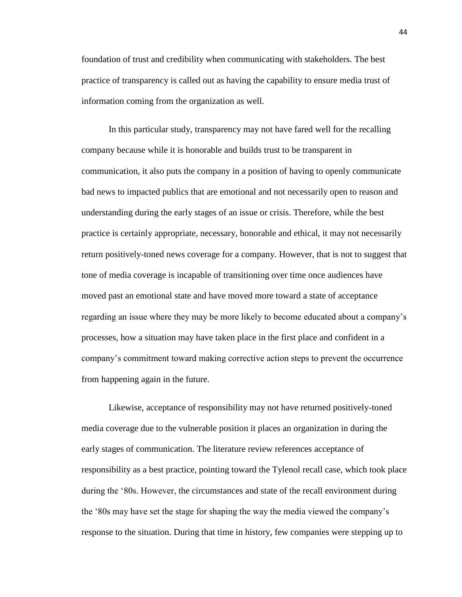foundation of trust and credibility when communicating with stakeholders. The best practice of transparency is called out as having the capability to ensure media trust of information coming from the organization as well.

In this particular study, transparency may not have fared well for the recalling company because while it is honorable and builds trust to be transparent in communication, it also puts the company in a position of having to openly communicate bad news to impacted publics that are emotional and not necessarily open to reason and understanding during the early stages of an issue or crisis. Therefore, while the best practice is certainly appropriate, necessary, honorable and ethical, it may not necessarily return positively-toned news coverage for a company. However, that is not to suggest that tone of media coverage is incapable of transitioning over time once audiences have moved past an emotional state and have moved more toward a state of acceptance regarding an issue where they may be more likely to become educated about a company's processes, how a situation may have taken place in the first place and confident in a company's commitment toward making corrective action steps to prevent the occurrence from happening again in the future.

Likewise, acceptance of responsibility may not have returned positively-toned media coverage due to the vulnerable position it places an organization in during the early stages of communication. The literature review references acceptance of responsibility as a best practice, pointing toward the Tylenol recall case, which took place during the '80s. However, the circumstances and state of the recall environment during the '80s may have set the stage for shaping the way the media viewed the company's response to the situation. During that time in history, few companies were stepping up to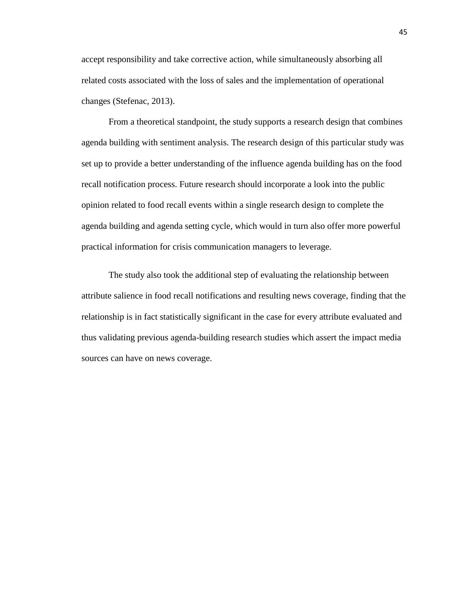accept responsibility and take corrective action, while simultaneously absorbing all related costs associated with the loss of sales and the implementation of operational changes (Stefenac, 2013).

From a theoretical standpoint, the study supports a research design that combines agenda building with sentiment analysis. The research design of this particular study was set up to provide a better understanding of the influence agenda building has on the food recall notification process. Future research should incorporate a look into the public opinion related to food recall events within a single research design to complete the agenda building and agenda setting cycle, which would in turn also offer more powerful practical information for crisis communication managers to leverage.

The study also took the additional step of evaluating the relationship between attribute salience in food recall notifications and resulting news coverage, finding that the relationship is in fact statistically significant in the case for every attribute evaluated and thus validating previous agenda-building research studies which assert the impact media sources can have on news coverage.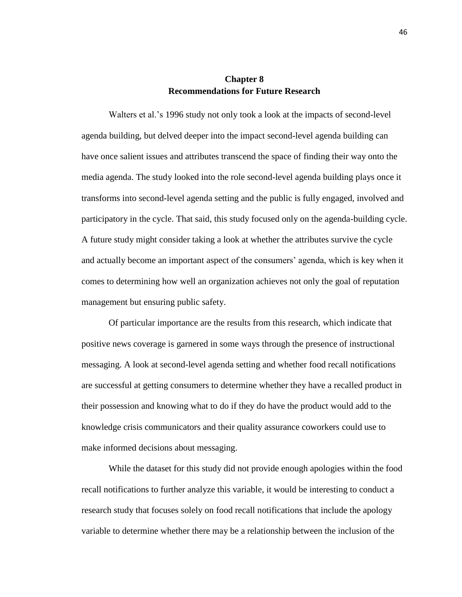### **Chapter 8 Recommendations for Future Research**

Walters et al.'s 1996 study not only took a look at the impacts of second-level agenda building, but delved deeper into the impact second-level agenda building can have once salient issues and attributes transcend the space of finding their way onto the media agenda. The study looked into the role second-level agenda building plays once it transforms into second-level agenda setting and the public is fully engaged, involved and participatory in the cycle. That said, this study focused only on the agenda-building cycle. A future study might consider taking a look at whether the attributes survive the cycle and actually become an important aspect of the consumers' agenda, which is key when it comes to determining how well an organization achieves not only the goal of reputation management but ensuring public safety.

Of particular importance are the results from this research, which indicate that positive news coverage is garnered in some ways through the presence of instructional messaging. A look at second-level agenda setting and whether food recall notifications are successful at getting consumers to determine whether they have a recalled product in their possession and knowing what to do if they do have the product would add to the knowledge crisis communicators and their quality assurance coworkers could use to make informed decisions about messaging.

While the dataset for this study did not provide enough apologies within the food recall notifications to further analyze this variable, it would be interesting to conduct a research study that focuses solely on food recall notifications that include the apology variable to determine whether there may be a relationship between the inclusion of the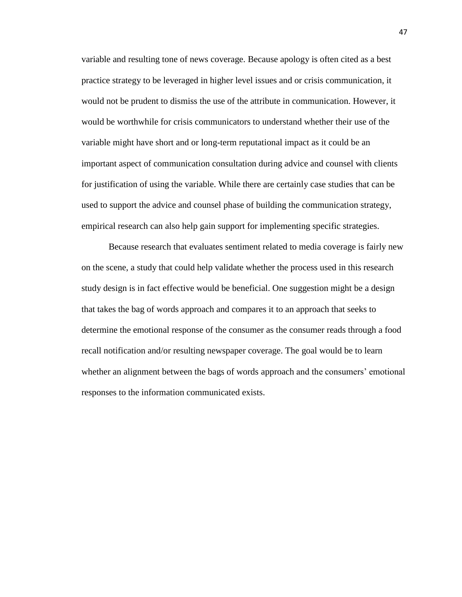variable and resulting tone of news coverage. Because apology is often cited as a best practice strategy to be leveraged in higher level issues and or crisis communication, it would not be prudent to dismiss the use of the attribute in communication. However, it would be worthwhile for crisis communicators to understand whether their use of the variable might have short and or long-term reputational impact as it could be an important aspect of communication consultation during advice and counsel with clients for justification of using the variable. While there are certainly case studies that can be used to support the advice and counsel phase of building the communication strategy, empirical research can also help gain support for implementing specific strategies.

Because research that evaluates sentiment related to media coverage is fairly new on the scene, a study that could help validate whether the process used in this research study design is in fact effective would be beneficial. One suggestion might be a design that takes the bag of words approach and compares it to an approach that seeks to determine the emotional response of the consumer as the consumer reads through a food recall notification and/or resulting newspaper coverage. The goal would be to learn whether an alignment between the bags of words approach and the consumers' emotional responses to the information communicated exists.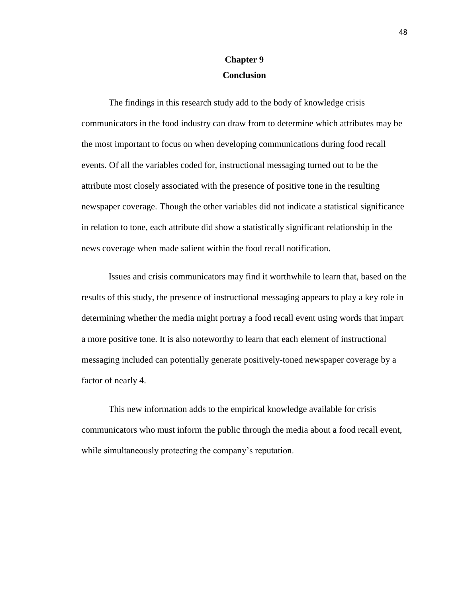## **Chapter 9 Conclusion**

The findings in this research study add to the body of knowledge crisis communicators in the food industry can draw from to determine which attributes may be the most important to focus on when developing communications during food recall events. Of all the variables coded for, instructional messaging turned out to be the attribute most closely associated with the presence of positive tone in the resulting newspaper coverage. Though the other variables did not indicate a statistical significance in relation to tone, each attribute did show a statistically significant relationship in the news coverage when made salient within the food recall notification.

Issues and crisis communicators may find it worthwhile to learn that, based on the results of this study, the presence of instructional messaging appears to play a key role in determining whether the media might portray a food recall event using words that impart a more positive tone. It is also noteworthy to learn that each element of instructional messaging included can potentially generate positively-toned newspaper coverage by a factor of nearly 4.

This new information adds to the empirical knowledge available for crisis communicators who must inform the public through the media about a food recall event, while simultaneously protecting the company's reputation.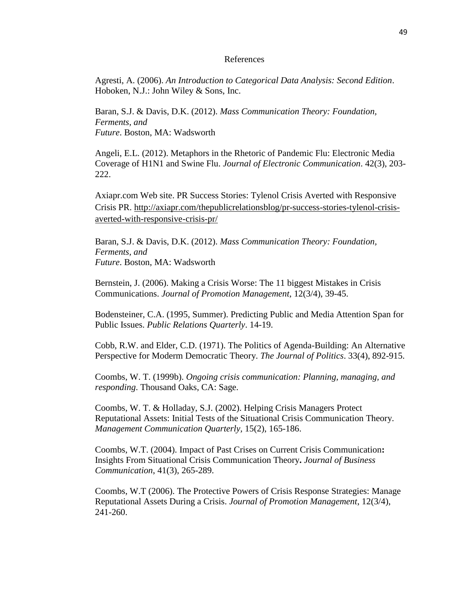#### References

Agresti, A. (2006). *An Introduction to Categorical Data Analysis: Second Edition*. Hoboken, N.J.: John Wiley & Sons, Inc.

Baran, S.J. & Davis, D.K. (2012). *Mass Communication Theory: Foundation, Ferments, and Future*. Boston, MA: Wadsworth

Angeli, E.L. (2012). Metaphors in the Rhetoric of Pandemic Flu: Electronic Media Coverage of H1N1 and Swine Flu. *Journal of Electronic Communication*. 42(3), 203- 222.

Axiapr.com Web site. PR Success Stories: Tylenol Crisis Averted with Responsive Crisis PR. [http://axiapr.com/thepublicrelationsblog/pr-success-stories-tylenol-crisis](http://axiapr.com/thepublicrelationsblog/pr-success-stories-tylenol-crisis-averted-with-responsive-crisis-pr/)[averted-with-responsive-crisis-pr/](http://axiapr.com/thepublicrelationsblog/pr-success-stories-tylenol-crisis-averted-with-responsive-crisis-pr/)

Baran, S.J. & Davis, D.K. (2012). *Mass Communication Theory: Foundation, Ferments, and Future*. Boston, MA: Wadsworth

Bernstein, J. (2006). Making a Crisis Worse: The 11 biggest Mistakes in Crisis Communications. *Journal of Promotion Management*, 12(3/4), 39-45.

Bodensteiner, C.A. (1995, Summer). Predicting Public and Media Attention Span for Public Issues. *Public Relations Quarterly*. 14-19.

Cobb, R.W. and Elder, C.D. (1971). The Politics of Agenda-Building: An Alternative Perspective for Moderm Democratic Theory. *The Journal of Politics*. 33(4), 892-915.

Coombs, W. T. (1999b). *Ongoing crisis communication: Planning, managing, and responding*. Thousand Oaks, CA: Sage.

Coombs, W. T. & Holladay, S.J. (2002). Helping Crisis Managers Protect Reputational Assets: Initial Tests of the Situational Crisis Communication Theory. *Management Communication Quarterly,* 15(2), 165-186.

Coombs, W.T. (2004). Impact of Past Crises on Current Crisis Communication**:**  Insights From Situational Crisis Communication Theory**.** *Journal of Business Communication*, 41(3), 265-289.

Coombs, W.T (2006). The Protective Powers of Crisis Response Strategies: Manage Reputational Assets During a Crisis. *Journal of Promotion Management*, 12(3/4), 241-260.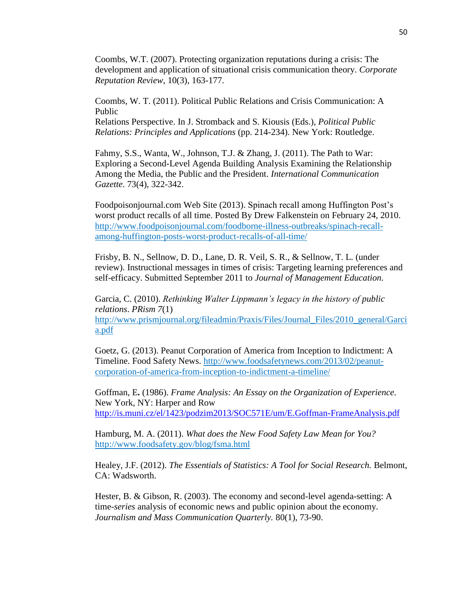Coombs, W.T. (2007). Protecting organization reputations during a crisis: The development and application of situational crisis communication theory. *Corporate Reputation Review*, 10(3), 163-177.

Coombs, W. T. (2011). Political Public Relations and Crisis Communication: A Public

Relations Perspective. In J. Stromback and S. Kiousis (Eds.), *Political Public Relations: Principles and Applications* (pp. 214-234). New York: Routledge.

Fahmy, S.S., Wanta, W., Johnson, T.J. & Zhang, J. (2011). The Path to War: Exploring a Second-Level Agenda Building Analysis Examining the Relationship Among the Media, the Public and the President. *International Communication Gazette*. 73(4), 322-342.

Foodpoisonjournal.com Web Site (2013). Spinach recall among Huffington Post's worst product recalls of all time. Posted By Drew Falkenstein on February 24, 2010. [http://www.foodpoisonjournal.com/foodborne-illness-outbreaks/spinach-recall](http://www.foodpoisonjournal.com/foodborne-illness-outbreaks/spinach-recall-among-huffington-posts-worst-product-recalls-of-all-time/)[among-huffington-posts-worst-product-recalls-of-all-time/](http://www.foodpoisonjournal.com/foodborne-illness-outbreaks/spinach-recall-among-huffington-posts-worst-product-recalls-of-all-time/)

Frisby, B. N., Sellnow, D. D., Lane, D. R. Veil, S. R., & Sellnow, T. L. (under review). Instructional messages in times of crisis: Targeting learning preferences and self-efficacy. Submitted September 2011 to *Journal of Management Education.*

Garcia, C. (2010). *Rethinking Walter Lippmann's legacy in the history of public relations*. *PRism 7*(1)

[http://www.prismjournal.org/fileadmin/Praxis/Files/Journal\\_Files/2010\\_general/Garci](http://www.prismjournal.org/fileadmin/Praxis/Files/Journal_Files/2010_general/Garcia.pdf) [a.pdf](http://www.prismjournal.org/fileadmin/Praxis/Files/Journal_Files/2010_general/Garcia.pdf)

Goetz, G. (2013). Peanut Corporation of America from Inception to Indictment: A Timeline. Food Safety News. [http://www.foodsafetynews.com/2013/02/peanut](http://www.foodsafetynews.com/2013/02/peanut-corporation-of-america-from-inception-to-indictment-a-timeline/)[corporation-of-america-from-inception-to-indictment-a-timeline/](http://www.foodsafetynews.com/2013/02/peanut-corporation-of-america-from-inception-to-indictment-a-timeline/)

Goffman, E**.** (1986). *Frame Analysis: An Essay on the Organization of Experience*. New York, NY: Harper and Row <http://is.muni.cz/el/1423/podzim2013/SOC571E/um/E.Goffman-FrameAnalysis.pdf>

Hamburg, M. A. (2011). *What does the New Food Safety Law Mean for You?* <http://www.foodsafety.gov/blog/fsma.html>

Healey, J.F. (2012). *The Essentials of Statistics: A Tool for Social Research.* Belmont, CA: Wadsworth.

Hester, B. & Gibson, R. (2003). The economy and second-level agenda-setting: A time-*series* analysis of economic news and public opinion about the economy. *Journalism and Mass Communication Quarterly.* 80(1), 73-90.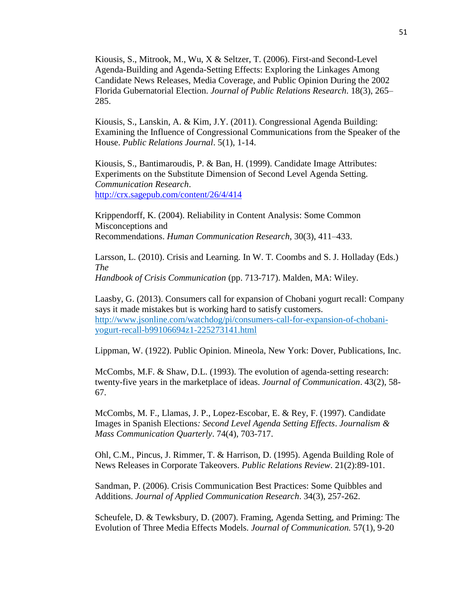Kiousis, S., Mitrook, M., Wu, X & Seltzer, T. (2006). First-and Second-Level Agenda-Building and Agenda-Setting Effects: Exploring the Linkages Among Candidate News Releases, Media Coverage, and Public Opinion During the 2002 Florida Gubernatorial Election. *Journal of Public Relations Research*. 18(3), 265– 285.

Kiousis, S., Lanskin, A. & Kim, J.Y. (2011). Congressional Agenda Building: Examining the Influence of Congressional Communications from the Speaker of the House. *Public Relations Journal*. 5(1), 1-14.

Kiousis, S., Bantimaroudis, P. & Ban, H. (1999). Candidate Image Attributes: Experiments on the Substitute Dimension of Second Level Agenda Setting. *Communication Research*. <http://crx.sagepub.com/content/26/4/414>

Krippendorff, K. (2004). Reliability in Content Analysis: Some Common Misconceptions and Recommendations. *Human Communication Research*, 30(3), 411–433.

Larsson, L. (2010). Crisis and Learning. In W. T. Coombs and S. J. Holladay (Eds.) *The* 

*Handbook of Crisis Communication* (pp. 713-717). Malden, MA: Wiley.

Laasby, G. (2013). Consumers call for expansion of Chobani yogurt recall: Company says it made mistakes but is working hard to satisfy customers. [http://www.jsonline.com/watchdog/pi/consumers-call-for-expansion-of-chobani](http://www.jsonline.com/watchdog/pi/consumers-call-for-expansion-of-chobani-yogurt-recall-b99106694z1-225273141.html)[yogurt-recall-b99106694z1-225273141.html](http://www.jsonline.com/watchdog/pi/consumers-call-for-expansion-of-chobani-yogurt-recall-b99106694z1-225273141.html)

Lippman, W. (1922). Public Opinion. Mineola, New York: Dover, Publications, Inc.

McCombs, M.F. & Shaw, D.L. (1993). The evolution of agenda-setting research: twenty-five years in the marketplace of ideas. *Journal of Communication*. 43(2), 58- 67.

McCombs, M. F., Llamas, J. P., Lopez-Escobar, E. & Rey, F. (1997). Candidate Images in Spanish Elections*: Second Level Agenda Setting Effects*. *Journalism & Mass Communication Quarterly*. 74(4), 703-717.

Ohl, C.M., Pincus, J. Rimmer, T. & Harrison, D. (1995). Agenda Building Role of News Releases in Corporate Takeovers. *Public Relations Review*. 21(2):89-101.

Sandman, P. (2006). Crisis Communication Best Practices: Some Quibbles and Additions. *Journal of Applied Communication Research*. 34(3), 257-262.

Scheufele, D. & Tewksbury, D. (2007). Framing, Agenda Setting, and Priming: The Evolution of Three Media Effects Models. *Journal of Communication.* 57(1), 9-20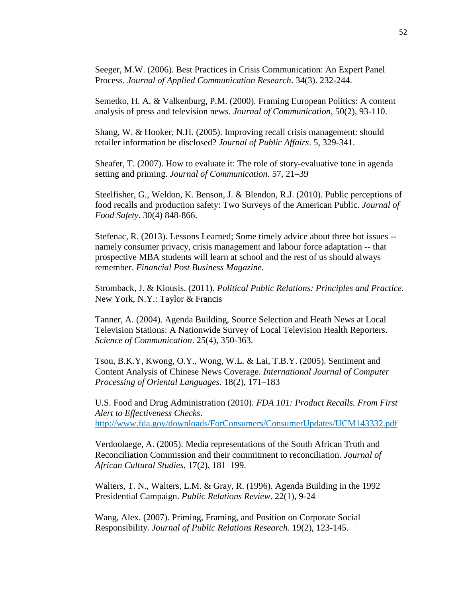Seeger, M.W. (2006). Best Practices in Crisis Communication: An Expert Panel Process. *Journal of Applied Communication Research*. 34(3). 232-244.

Semetko, H. A. & Valkenburg, P.M. (2000). Framing European Politics: A content analysis of press and television news. *Journal of Communication*, 50(2), 93-110.

Shang, W. & Hooker, N.H. (2005). Improving recall crisis management: should retailer information be disclosed? *Journal of Public Affairs*. 5, 329-341.

Sheafer, T. (2007). How to evaluate it: The role of story-evaluative tone in agenda setting and priming. *Journal of Communication*. 57, 21–39

Steelfisher, G., Weldon, K. Benson, J. & Blendon, R.J. (2010). Public perceptions of food recalls and production safety: Two Surveys of the American Public. *Journal of Food Safety*. 30(4) 848-866.

Stefenac, R. (2013). Lessons Learned; Some timely advice about three hot issues - namely consumer privacy, crisis management and labour force adaptation -- that prospective MBA students will learn at school and the rest of us should always remember. *Financial Post Business Magazine.*

Stromback, J. & Kiousis. (2011). *Political Public Relations: Principles and Practice.*  New York, N.Y.: Taylor & Francis

Tanner, A. (2004). Agenda Building, Source Selection and Heath News at Local Television Stations: A Nationwide Survey of Local Television Health Reporters. *Science of Communication*. 25(4), 350-363.

Tsou, B.K.Y, Kwong, O.Y., Wong, W.L. & Lai, T.B.Y. (2005). Sentiment and Content Analysis of Chinese News Coverage. *International Journal of Computer Processing of Oriental Languages*. 18(2), 171–183

U.S. Food and Drug Administration (2010). *FDA 101: Product Recalls. From First Alert to Effectiveness Checks*. <http://www.fda.gov/downloads/ForConsumers/ConsumerUpdates/UCM143332.pdf>

Verdoolaege, A. (2005). Media representations of the South African Truth and Reconciliation Commission and their commitment to reconciliation. *Journal of African Cultural Studies*, 17(2), 181–199.

Walters, T. N., Walters, L.M. & Gray, R. (1996). Agenda Building in the 1992 Presidential Campaign. *Public Relations Review*. 22(1), 9-24

Wang, Alex. (2007). Priming, Framing, and Position on Corporate Social Responsibility. *Journal of Public Relations Research*. 19(2), 123-145.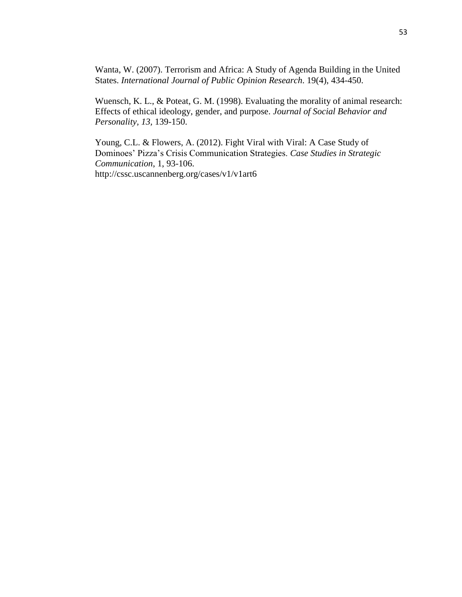Wanta, W. (2007). Terrorism and Africa: A Study of Agenda Building in the United States. *International Journal of Public Opinion Research*. 19(4), 434-450.

Wuensch, K. L., & Poteat, G. M. (1998). Evaluating the morality of animal research: Effects of ethical ideology, gender, and purpose. *Journal of Social Behavior and Personality, 13,* 139-150.

Young, C.L. & Flowers, A. (2012). Fight Viral with Viral: A Case Study of Dominoes' Pizza's Crisis Communication Strategies. *Case Studies in Strategic Communication*, 1, 93-106. http://cssc.uscannenberg.org/cases/v1/v1art6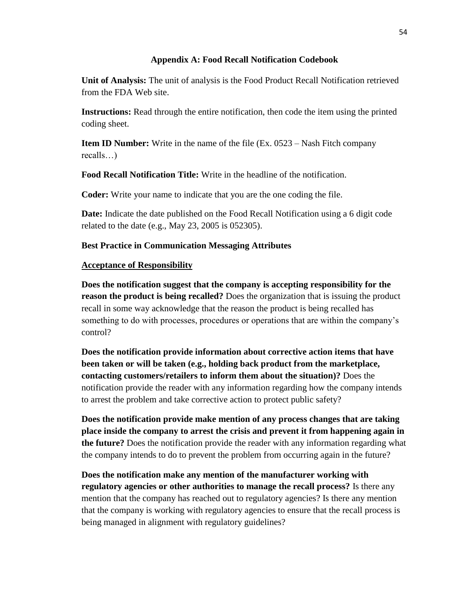#### **Appendix A: Food Recall Notification Codebook**

**Unit of Analysis:** The unit of analysis is the Food Product Recall Notification retrieved from the FDA Web site.

**Instructions:** Read through the entire notification, then code the item using the printed coding sheet.

**Item ID Number:** Write in the name of the file (Ex. 0523 – Nash Fitch company recalls…)

**Food Recall Notification Title:** Write in the headline of the notification.

**Coder:** Write your name to indicate that you are the one coding the file.

**Date:** Indicate the date published on the Food Recall Notification using a 6 digit code related to the date (e.g., May 23, 2005 is 052305).

## **Best Practice in Communication Messaging Attributes**

## **Acceptance of Responsibility**

**Does the notification suggest that the company is accepting responsibility for the reason the product is being recalled?** Does the organization that is issuing the product recall in some way acknowledge that the reason the product is being recalled has something to do with processes, procedures or operations that are within the company's control?

**Does the notification provide information about corrective action items that have been taken or will be taken (e.g., holding back product from the marketplace, contacting customers/retailers to inform them about the situation)?** Does the notification provide the reader with any information regarding how the company intends to arrest the problem and take corrective action to protect public safety?

**Does the notification provide make mention of any process changes that are taking place inside the company to arrest the crisis and prevent it from happening again in the future?** Does the notification provide the reader with any information regarding what the company intends to do to prevent the problem from occurring again in the future?

**Does the notification make any mention of the manufacturer working with regulatory agencies or other authorities to manage the recall process?** Is there any mention that the company has reached out to regulatory agencies? Is there any mention that the company is working with regulatory agencies to ensure that the recall process is being managed in alignment with regulatory guidelines?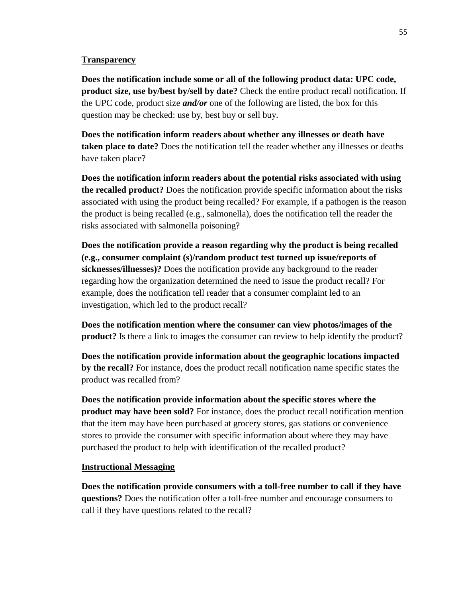#### **Transparency**

**Does the notification include some or all of the following product data: UPC code, product size, use by/best by/sell by date?** Check the entire product recall notification. If the UPC code, product size *and/or* one of the following are listed, the box for this question may be checked: use by, best buy or sell buy.

**Does the notification inform readers about whether any illnesses or death have taken place to date?** Does the notification tell the reader whether any illnesses or deaths have taken place?

**Does the notification inform readers about the potential risks associated with using the recalled product?** Does the notification provide specific information about the risks associated with using the product being recalled? For example, if a pathogen is the reason the product is being recalled (e.g., salmonella), does the notification tell the reader the risks associated with salmonella poisoning?

**Does the notification provide a reason regarding why the product is being recalled (e.g., consumer complaint (s)/random product test turned up issue/reports of sicknesses/illnesses)?** Does the notification provide any background to the reader regarding how the organization determined the need to issue the product recall? For example, does the notification tell reader that a consumer complaint led to an investigation, which led to the product recall?

**Does the notification mention where the consumer can view photos/images of the product?** Is there a link to images the consumer can review to help identify the product?

**Does the notification provide information about the geographic locations impacted by the recall?** For instance, does the product recall notification name specific states the product was recalled from?

**Does the notification provide information about the specific stores where the product may have been sold?** For instance, does the product recall notification mention that the item may have been purchased at grocery stores, gas stations or convenience stores to provide the consumer with specific information about where they may have purchased the product to help with identification of the recalled product?

#### **Instructional Messaging**

**Does the notification provide consumers with a toll-free number to call if they have questions?** Does the notification offer a toll-free number and encourage consumers to call if they have questions related to the recall?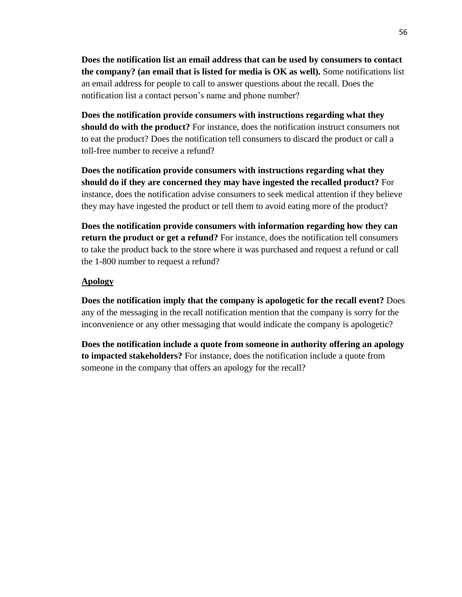**Does the notification list an email address that can be used by consumers to contact the company? (an email that is listed for media is OK as well).** Some notifications list an email address for people to call to answer questions about the recall. Does the notification list a contact person's name and phone number?

**Does the notification provide consumers with instructions regarding what they should do with the product?** For instance, does the notification instruct consumers not to eat the product? Does the notification tell consumers to discard the product or call a toll-free number to receive a refund?

**Does the notification provide consumers with instructions regarding what they should do if they are concerned they may have ingested the recalled product?** For instance, does the notification advise consumers to seek medical attention if they believe they may have ingested the product or tell them to avoid eating more of the product?

**Does the notification provide consumers with information regarding how they can return the product or get a refund?** For instance, does the notification tell consumers to take the product back to the store where it was purchased and request a refund or call the 1-800 number to request a refund?

#### **Apology**

**Does the notification imply that the company is apologetic for the recall event?** Does any of the messaging in the recall notification mention that the company is sorry for the inconvenience or any other messaging that would indicate the company is apologetic?

**Does the notification include a quote from someone in authority offering an apology to impacted stakeholders?** For instance, does the notification include a quote from someone in the company that offers an apology for the recall?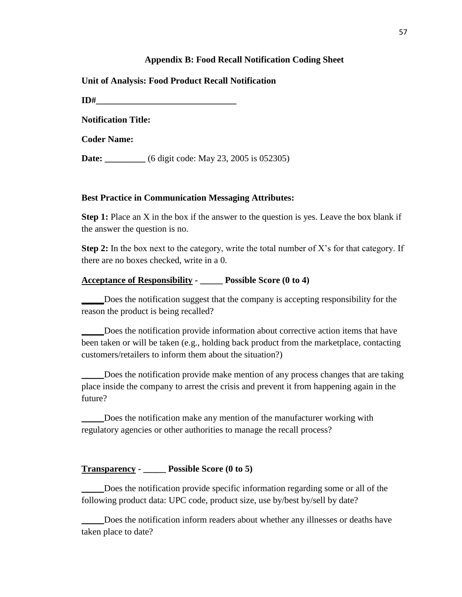#### **Appendix B: Food Recall Notification Coding Sheet**

**Unit of Analysis: Food Product Recall Notification**

**ID#** 

**Notification Title:** 

**Coder Name:** 

**Date:** \_\_\_\_\_\_\_\_\_ (6 digit code: May 23, 2005 is 052305)

#### **Best Practice in Communication Messaging Attributes:**

**Step 1:** Place an X in the box if the answer to the question is yes. Leave the box blank if the answer the question is no.

**Step 2:** In the box next to the category, write the total number of X's for that category. If there are no boxes checked, write in a 0.

#### **Acceptance of Responsibility - \_\_\_\_\_ Possible Score (0 to 4)**

Does the notification suggest that the company is accepting responsibility for the reason the product is being recalled?

Does the notification provide information about corrective action items that have been taken or will be taken (e.g., holding back product from the marketplace, contacting customers/retailers to inform them about the situation?)

Does the notification provide make mention of any process changes that are taking place inside the company to arrest the crisis and prevent it from happening again in the future?

\_\_\_\_\_Does the notification make any mention of the manufacturer working with regulatory agencies or other authorities to manage the recall process?

#### **Transparency - \_\_\_\_\_ Possible Score (0 to 5)**

\_\_\_\_\_Does the notification provide specific information regarding some or all of the following product data: UPC code, product size, use by/best by/sell by date?

\_\_\_\_\_Does the notification inform readers about whether any illnesses or deaths have taken place to date?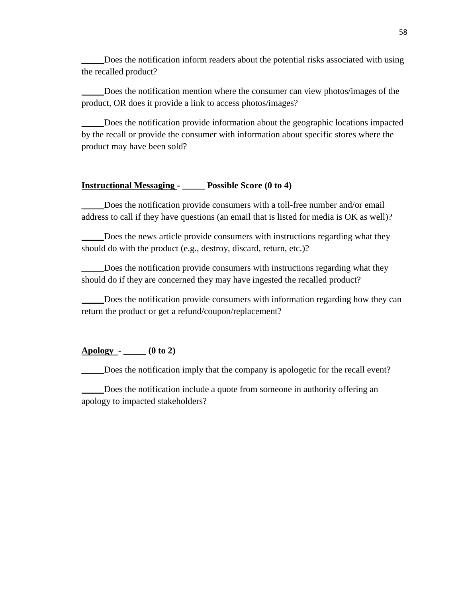\_\_\_\_\_Does the notification inform readers about the potential risks associated with using the recalled product?

\_\_\_\_\_Does the notification mention where the consumer can view photos/images of the product, OR does it provide a link to access photos/images?

\_\_\_\_\_Does the notification provide information about the geographic locations impacted by the recall or provide the consumer with information about specific stores where the product may have been sold?

#### **Instructional Messaging - \_\_\_\_\_ Possible Score (0 to 4)**

\_\_\_\_\_Does the notification provide consumers with a toll-free number and/or email address to call if they have questions (an email that is listed for media is OK as well)?

Does the news article provide consumers with instructions regarding what they should do with the product (e.g., destroy, discard, return, etc.)?

Does the notification provide consumers with instructions regarding what they should do if they are concerned they may have ingested the recalled product?

\_\_\_\_\_Does the notification provide consumers with information regarding how they can return the product or get a refund/coupon/replacement?

#### **Apology - \_\_\_\_\_ (0 to 2)**

Does the notification imply that the company is apologetic for the recall event?

\_\_\_\_\_Does the notification include a quote from someone in authority offering an apology to impacted stakeholders?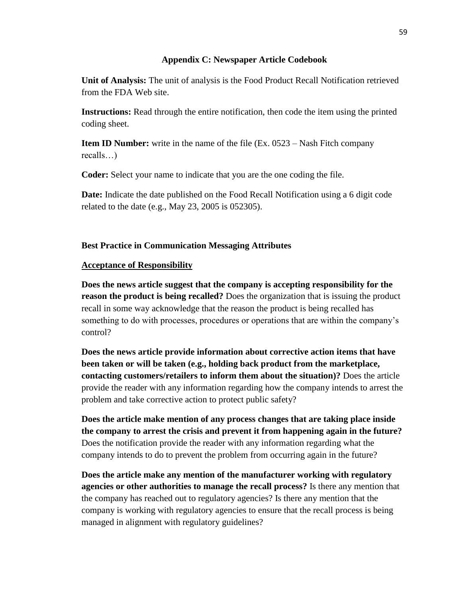#### **Appendix C: Newspaper Article Codebook**

**Unit of Analysis:** The unit of analysis is the Food Product Recall Notification retrieved from the FDA Web site.

**Instructions:** Read through the entire notification, then code the item using the printed coding sheet.

**Item ID Number:** write in the name of the file (Ex. 0523 – Nash Fitch company recalls…)

**Coder:** Select your name to indicate that you are the one coding the file.

**Date:** Indicate the date published on the Food Recall Notification using a 6 digit code related to the date (e.g., May 23, 2005 is 052305).

#### **Best Practice in Communication Messaging Attributes**

#### **Acceptance of Responsibility**

**Does the news article suggest that the company is accepting responsibility for the reason the product is being recalled?** Does the organization that is issuing the product recall in some way acknowledge that the reason the product is being recalled has something to do with processes, procedures or operations that are within the company's control?

**Does the news article provide information about corrective action items that have been taken or will be taken (e.g., holding back product from the marketplace, contacting customers/retailers to inform them about the situation)?** Does the article provide the reader with any information regarding how the company intends to arrest the problem and take corrective action to protect public safety?

**Does the article make mention of any process changes that are taking place inside the company to arrest the crisis and prevent it from happening again in the future?**  Does the notification provide the reader with any information regarding what the company intends to do to prevent the problem from occurring again in the future?

**Does the article make any mention of the manufacturer working with regulatory agencies or other authorities to manage the recall process?** Is there any mention that the company has reached out to regulatory agencies? Is there any mention that the company is working with regulatory agencies to ensure that the recall process is being managed in alignment with regulatory guidelines?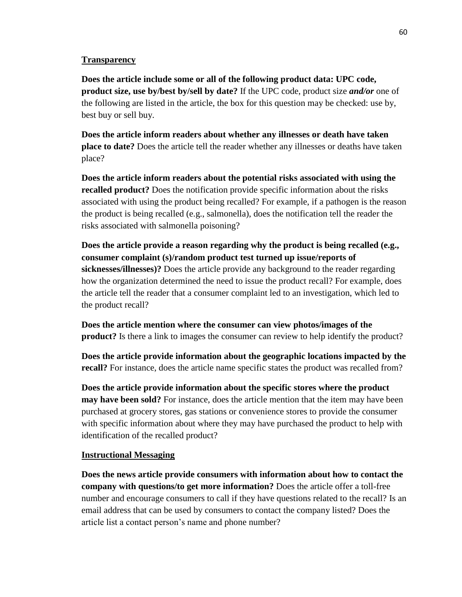#### **Transparency**

**Does the article include some or all of the following product data: UPC code, product size, use by/best by/sell by date?** If the UPC code, product size *and/or* one of the following are listed in the article, the box for this question may be checked: use by, best buy or sell buy.

**Does the article inform readers about whether any illnesses or death have taken place to date?** Does the article tell the reader whether any illnesses or deaths have taken place?

**Does the article inform readers about the potential risks associated with using the recalled product?** Does the notification provide specific information about the risks associated with using the product being recalled? For example, if a pathogen is the reason the product is being recalled (e.g., salmonella), does the notification tell the reader the risks associated with salmonella poisoning?

**Does the article provide a reason regarding why the product is being recalled (e.g., consumer complaint (s)/random product test turned up issue/reports of sicknesses/illnesses)?** Does the article provide any background to the reader regarding how the organization determined the need to issue the product recall? For example, does the article tell the reader that a consumer complaint led to an investigation, which led to the product recall?

**Does the article mention where the consumer can view photos/images of the product?** Is there a link to images the consumer can review to help identify the product?

**Does the article provide information about the geographic locations impacted by the recall?** For instance, does the article name specific states the product was recalled from?

**Does the article provide information about the specific stores where the product may have been sold?** For instance, does the article mention that the item may have been purchased at grocery stores, gas stations or convenience stores to provide the consumer with specific information about where they may have purchased the product to help with identification of the recalled product?

#### **Instructional Messaging**

**Does the news article provide consumers with information about how to contact the company with questions/to get more information?** Does the article offer a toll-free number and encourage consumers to call if they have questions related to the recall? Is an email address that can be used by consumers to contact the company listed? Does the article list a contact person's name and phone number?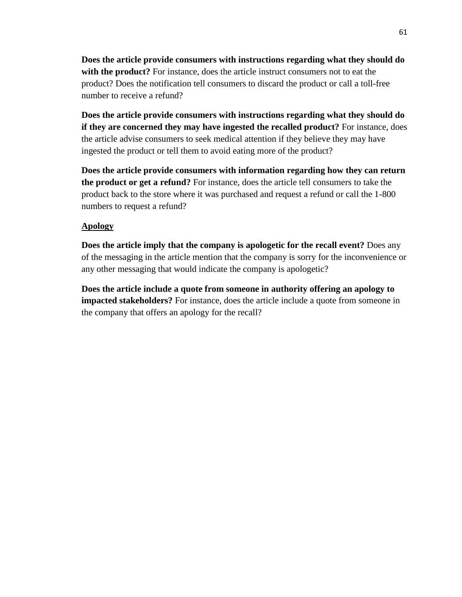**Does the article provide consumers with instructions regarding what they should do with the product?** For instance, does the article instruct consumers not to eat the product? Does the notification tell consumers to discard the product or call a toll-free number to receive a refund?

**Does the article provide consumers with instructions regarding what they should do if they are concerned they may have ingested the recalled product?** For instance, does the article advise consumers to seek medical attention if they believe they may have ingested the product or tell them to avoid eating more of the product?

**Does the article provide consumers with information regarding how they can return the product or get a refund?** For instance, does the article tell consumers to take the product back to the store where it was purchased and request a refund or call the 1-800 numbers to request a refund?

#### **Apology**

**Does the article imply that the company is apologetic for the recall event?** Does any of the messaging in the article mention that the company is sorry for the inconvenience or any other messaging that would indicate the company is apologetic?

**Does the article include a quote from someone in authority offering an apology to impacted stakeholders?** For instance, does the article include a quote from someone in the company that offers an apology for the recall?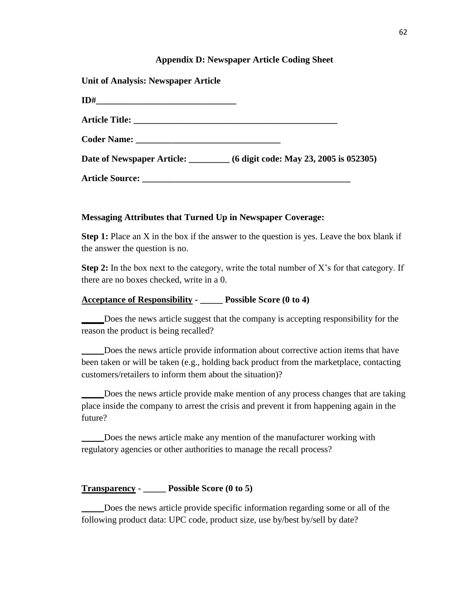#### **Appendix D: Newspaper Article Coding Sheet**

**Unit of Analysis: Newspaper Article**

| <b>ID#_________________________________</b> |                                                                  |  |
|---------------------------------------------|------------------------------------------------------------------|--|
|                                             |                                                                  |  |
|                                             |                                                                  |  |
|                                             | Date of Newspaper Article: 6 digit code: May 23, 2005 is 052305) |  |
|                                             |                                                                  |  |

#### **Messaging Attributes that Turned Up in Newspaper Coverage:**

**Step 1:** Place an X in the box if the answer to the question is yes. Leave the box blank if the answer the question is no.

**Step 2:** In the box next to the category, write the total number of X's for that category. If there are no boxes checked, write in a 0.

#### **Acceptance of Responsibility - \_\_\_\_\_ Possible Score (0 to 4)**

**\_\_\_\_\_**Does the news article suggest that the company is accepting responsibility for the reason the product is being recalled?

\_\_\_\_\_Does the news article provide information about corrective action items that have been taken or will be taken (e.g., holding back product from the marketplace, contacting customers/retailers to inform them about the situation)?

\_\_\_\_\_Does the news article provide make mention of any process changes that are taking place inside the company to arrest the crisis and prevent it from happening again in the future?

\_\_\_\_\_Does the news article make any mention of the manufacturer working with regulatory agencies or other authorities to manage the recall process?

#### **Transparency - \_\_\_\_\_ Possible Score (0 to 5)**

\_\_\_\_\_Does the news article provide specific information regarding some or all of the following product data: UPC code, product size, use by/best by/sell by date?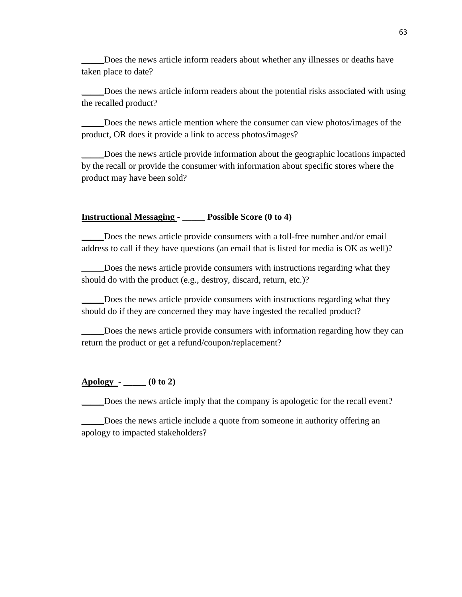\_\_\_\_\_Does the news article inform readers about whether any illnesses or deaths have taken place to date?

\_\_\_\_\_Does the news article inform readers about the potential risks associated with using the recalled product?

\_\_\_\_\_Does the news article mention where the consumer can view photos/images of the product, OR does it provide a link to access photos/images?

Does the news article provide information about the geographic locations impacted by the recall or provide the consumer with information about specific stores where the product may have been sold?

#### **Instructional Messaging - \_\_\_\_\_ Possible Score (0 to 4)**

\_\_\_\_\_Does the news article provide consumers with a toll-free number and/or email address to call if they have questions (an email that is listed for media is OK as well)?

Does the news article provide consumers with instructions regarding what they should do with the product (e.g., destroy, discard, return, etc.)?

Does the news article provide consumers with instructions regarding what they should do if they are concerned they may have ingested the recalled product?

Does the news article provide consumers with information regarding how they can return the product or get a refund/coupon/replacement?

#### **Apology - \_\_\_\_\_ (0 to 2)**

\_\_\_\_\_Does the news article imply that the company is apologetic for the recall event?

\_\_\_\_\_Does the news article include a quote from someone in authority offering an apology to impacted stakeholders?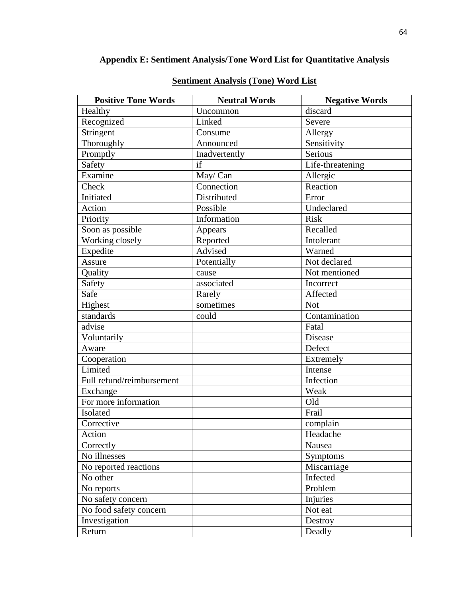## **Appendix E: Sentiment Analysis/Tone Word List for Quantitative Analysis**

| <b>Positive Tone Words</b> | <b>Neutral Words</b> | <b>Negative Words</b> |
|----------------------------|----------------------|-----------------------|
| Healthy                    | Uncommon             | discard               |
| Recognized                 | Linked               | Severe                |
| Stringent                  | Consume              | Allergy               |
| Thoroughly                 | Announced            | Sensitivity           |
| Promptly                   | Inadvertently        | Serious               |
| Safety                     | if                   | Life-threatening      |
| Examine                    | May/Can              | Allergic              |
| Check                      | Connection           | Reaction              |
| Initiated                  | Distributed          | Error                 |
| Action                     | Possible             | Undeclared            |
| Priority                   | Information          | <b>Risk</b>           |
| Soon as possible           | Appears              | Recalled              |
| Working closely            | Reported             | Intolerant            |
| Expedite                   | Advised              | Warned                |
| Assure                     | Potentially          | Not declared          |
| Quality                    | cause                | Not mentioned         |
| Safety                     | associated           | Incorrect             |
| Safe                       | Rarely               | Affected              |
| Highest                    | sometimes            | <b>Not</b>            |
| standards                  | could                | Contamination         |
| advise                     |                      | Fatal                 |
| Voluntarily                |                      | Disease               |
| Aware                      |                      | Defect                |
| Cooperation                |                      | Extremely             |
| Limited                    |                      | Intense               |
| Full refund/reimbursement  |                      | Infection             |
| Exchange                   |                      | Weak                  |
| For more information       |                      | Old                   |
| Isolated                   |                      | Frail                 |
| Corrective                 |                      | complain              |
| Action                     |                      | Headache              |
| Correctly                  |                      | Nausea                |
| No illnesses               |                      | <b>Symptoms</b>       |
| No reported reactions      |                      | Miscarriage           |
| No other                   |                      | Infected              |
| No reports                 |                      | Problem               |
| No safety concern          |                      | Injuries              |
| No food safety concern     |                      | Not eat               |
| Investigation              |                      | Destroy               |
| Return                     |                      | Deadly                |

## **Sentiment Analysis (Tone) Word List**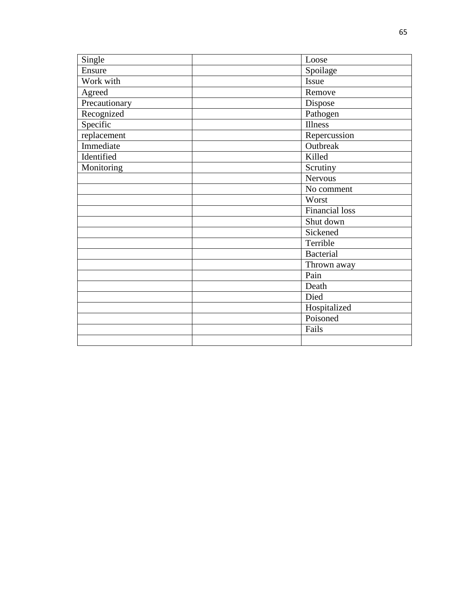| Single        | Loose                 |
|---------------|-----------------------|
| Ensure        | Spoilage              |
| Work with     | Issue                 |
| Agreed        | Remove                |
| Precautionary | Dispose               |
| Recognized    | Pathogen              |
| Specific      | <b>Illness</b>        |
| replacement   | Repercussion          |
| Immediate     | Outbreak              |
| Identified    | Killed                |
| Monitoring    | Scrutiny              |
|               | Nervous               |
|               | No comment            |
|               | Worst                 |
|               | <b>Financial loss</b> |
|               | Shut down             |
|               | Sickened              |
|               | Terrible              |
|               | <b>Bacterial</b>      |
|               | Thrown away           |
|               | Pain                  |
|               | Death                 |
|               | Died                  |
|               | Hospitalized          |
|               | Poisoned              |
|               | Fails                 |
|               |                       |